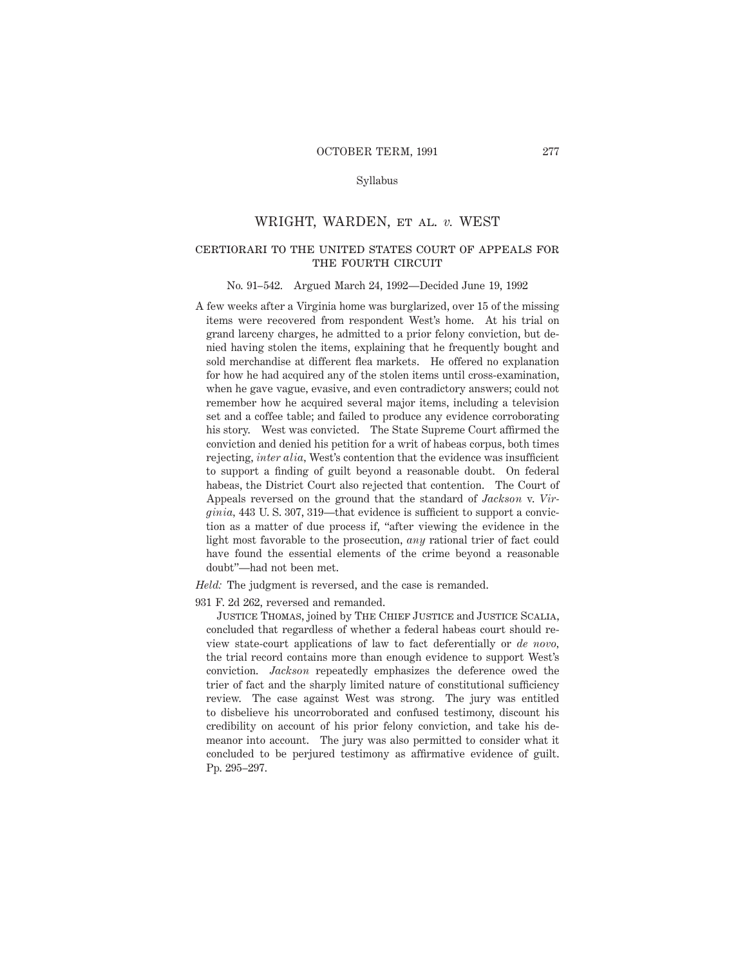### Syllabus

### WRIGHT, WARDEN, et al. *v.* WEST

# certiorari to the united states court of appeals for THE FOURTH CIRCUIT

#### No. 91–542. Argued March 24, 1992—Decided June 19, 1992

A few weeks after a Virginia home was burglarized, over 15 of the missing items were recovered from respondent West's home. At his trial on grand larceny charges, he admitted to a prior felony conviction, but denied having stolen the items, explaining that he frequently bought and sold merchandise at different flea markets. He offered no explanation for how he had acquired any of the stolen items until cross-examination, when he gave vague, evasive, and even contradictory answers; could not remember how he acquired several major items, including a television set and a coffee table; and failed to produce any evidence corroborating his story. West was convicted. The State Supreme Court affirmed the conviction and denied his petition for a writ of habeas corpus, both times rejecting, *inter alia,* West's contention that the evidence was insufficient to support a finding of guilt beyond a reasonable doubt. On federal habeas, the District Court also rejected that contention. The Court of Appeals reversed on the ground that the standard of *Jackson* v. *Virginia,* 443 U. S. 307, 319—that evidence is sufficient to support a conviction as a matter of due process if, "after viewing the evidence in the light most favorable to the prosecution, *any* rational trier of fact could have found the essential elements of the crime beyond a reasonable doubt"—had not been met.

*Held:* The judgment is reversed, and the case is remanded.

931 F. 2d 262, reversed and remanded.

Justice Thomas, joined by The Chief Justice and Justice Scalia, concluded that regardless of whether a federal habeas court should review state-court applications of law to fact deferentially or *de novo,* the trial record contains more than enough evidence to support West's conviction. *Jackson* repeatedly emphasizes the deference owed the trier of fact and the sharply limited nature of constitutional sufficiency review. The case against West was strong. The jury was entitled to disbelieve his uncorroborated and confused testimony, discount his credibility on account of his prior felony conviction, and take his demeanor into account. The jury was also permitted to consider what it concluded to be perjured testimony as affirmative evidence of guilt. Pp. 295–297.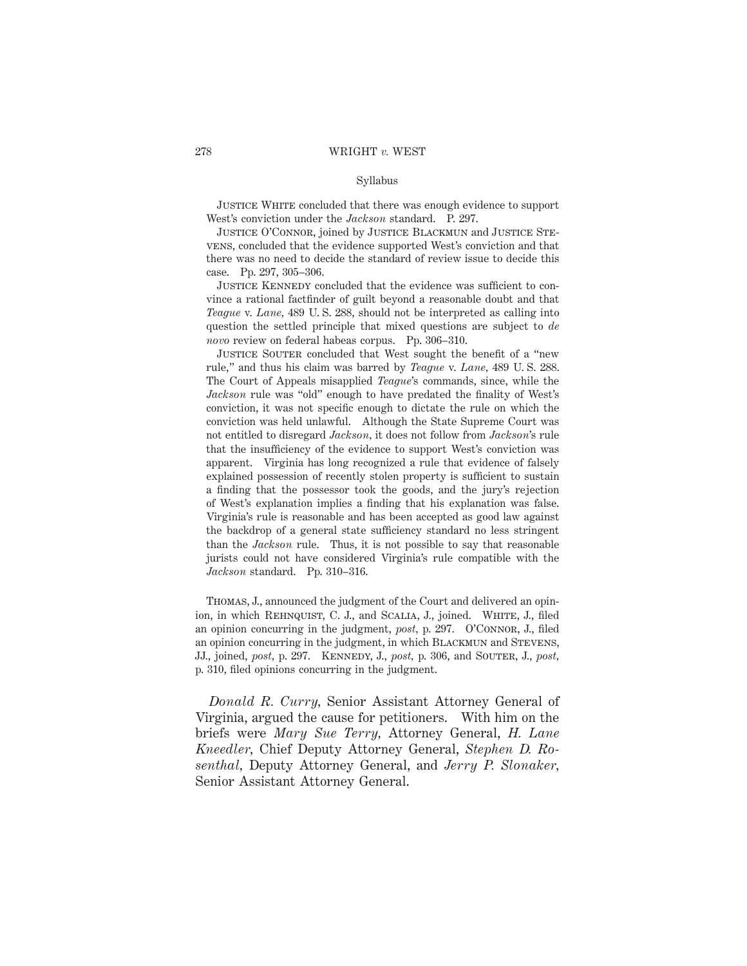### Syllabus

JUSTICE WHITE concluded that there was enough evidence to support West's conviction under the *Jackson* standard. P. 297.

Justice O'Connor, joined by Justice Blackmun and Justice Stevens, concluded that the evidence supported West's conviction and that there was no need to decide the standard of review issue to decide this case. Pp. 297, 305–306.

JUSTICE KENNEDY concluded that the evidence was sufficient to convince a rational factfinder of guilt beyond a reasonable doubt and that *Teague* v. *Lane,* 489 U. S. 288, should not be interpreted as calling into question the settled principle that mixed questions are subject to *de novo* review on federal habeas corpus. Pp. 306–310.

JUSTICE SOUTER concluded that West sought the benefit of a "new rule," and thus his claim was barred by *Teague* v. *Lane,* 489 U. S. 288. The Court of Appeals misapplied *Teague*'s commands, since, while the *Jackson* rule was "old" enough to have predated the finality of West's conviction, it was not specific enough to dictate the rule on which the conviction was held unlawful. Although the State Supreme Court was not entitled to disregard *Jackson,* it does not follow from *Jackson*'s rule that the insufficiency of the evidence to support West's conviction was apparent. Virginia has long recognized a rule that evidence of falsely explained possession of recently stolen property is sufficient to sustain a finding that the possessor took the goods, and the jury's rejection of West's explanation implies a finding that his explanation was false. Virginia's rule is reasonable and has been accepted as good law against the backdrop of a general state sufficiency standard no less stringent than the *Jackson* rule. Thus, it is not possible to say that reasonable jurists could not have considered Virginia's rule compatible with the *Jackson* standard. Pp. 310–316.

Thomas, J., announced the judgment of the Court and delivered an opinion, in which REHNQUIST, C. J., and SCALIA, J., joined. WHITE, J., filed an opinion concurring in the judgment, *post*, p. 297. O'CONNOR, J., filed an opinion concurring in the judgment, in which BLACKMUN and STEVENS, JJ., joined, *post,* p. 297. Kennedy, J., *post,* p. 306, and Souter, J., *post,* p. 310, filed opinions concurring in the judgment.

*Donald R. Curry,* Senior Assistant Attorney General of Virginia, argued the cause for petitioners. With him on the briefs were *Mary Sue Terry,* Attorney General, *H. Lane Kneedler,* Chief Deputy Attorney General, *Stephen D. Rosenthal,* Deputy Attorney General, and *Jerry P. Slonaker,* Senior Assistant Attorney General.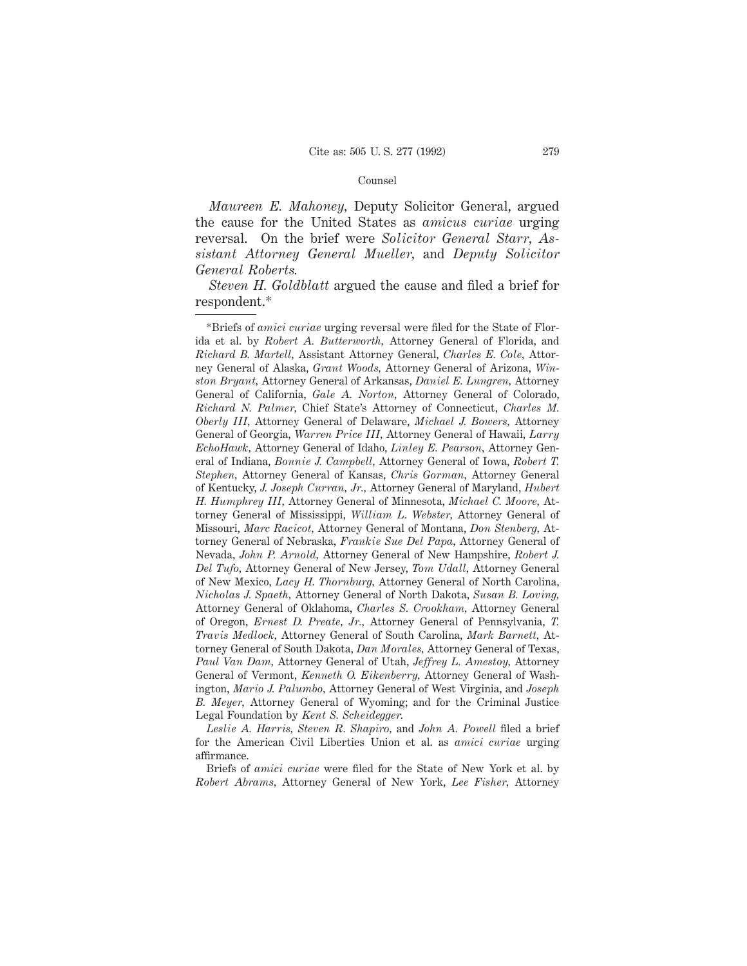#### Counsel

*Maureen E. Mahoney,* Deputy Solicitor General, argued the cause for the United States as *amicus curiae* urging reversal. On the brief were *Solicitor General Starr, Assistant Attorney General Mueller,* and *Deputy Solicitor General Roberts.*

*Steven H. Goldblatt* argued the cause and filed a brief for respondent.\*

\*Briefs of *amici curiae* urging reversal were filed for the State of Florida et al. by *Robert A. Butterworth,* Attorney General of Florida, and *Richard B. Martell,* Assistant Attorney General, *Charles E. Cole,* Attorney General of Alaska, *Grant Woods,* Attorney General of Arizona, *Winston Bryant,* Attorney General of Arkansas, *Daniel E. Lungren,* Attorney General of California, *Gale A. Norton,* Attorney General of Colorado, *Richard N. Palmer,* Chief State's Attorney of Connecticut, *Charles M. Oberly III,* Attorney General of Delaware, *Michael J. Bowers,* Attorney General of Georgia, *Warren Price III,* Attorney General of Hawaii, *Larry EchoHawk,* Attorney General of Idaho, *Linley E. Pearson,* Attorney General of Indiana, *Bonnie J. Campbell,* Attorney General of Iowa, *Robert T. Stephen,* Attorney General of Kansas, *Chris Gorman,* Attorney General of Kentucky, *J. Joseph Curran, Jr.,* Attorney General of Maryland, *Hubert H. Humphrey III,* Attorney General of Minnesota, *Michael C. Moore,* Attorney General of Mississippi, *William L. Webster,* Attorney General of Missouri, *Marc Racicot,* Attorney General of Montana, *Don Stenberg,* Attorney General of Nebraska, *Frankie Sue Del Papa,* Attorney General of Nevada, *John P. Arnold,* Attorney General of New Hampshire, *Robert J. Del Tufo,* Attorney General of New Jersey, *Tom Udall,* Attorney General of New Mexico, *Lacy H. Thornburg,* Attorney General of North Carolina, *Nicholas J. Spaeth,* Attorney General of North Dakota, *Susan B. Loving,* Attorney General of Oklahoma, *Charles S. Crookham,* Attorney General of Oregon, *Ernest D. Preate, Jr.,* Attorney General of Pennsylvania, *T. Travis Medlock,* Attorney General of South Carolina, *Mark Barnett,* Attorney General of South Dakota, *Dan Morales,* Attorney General of Texas, *Paul Van Dam,* Attorney General of Utah, *Jeffrey L. Amestoy,* Attorney General of Vermont, *Kenneth O. Eikenberry,* Attorney General of Washington, *Mario J. Palumbo,* Attorney General of West Virginia, and *Joseph B. Meyer,* Attorney General of Wyoming; and for the Criminal Justice Legal Foundation by *Kent S. Scheidegger.*

*Leslie A. Harris, Steven R. Shapiro,* and *John A. Powell* filed a brief for the American Civil Liberties Union et al. as *amici curiae* urging affirmance.

Briefs of *amici curiae* were filed for the State of New York et al. by *Robert Abrams,* Attorney General of New York, *Lee Fisher,* Attorney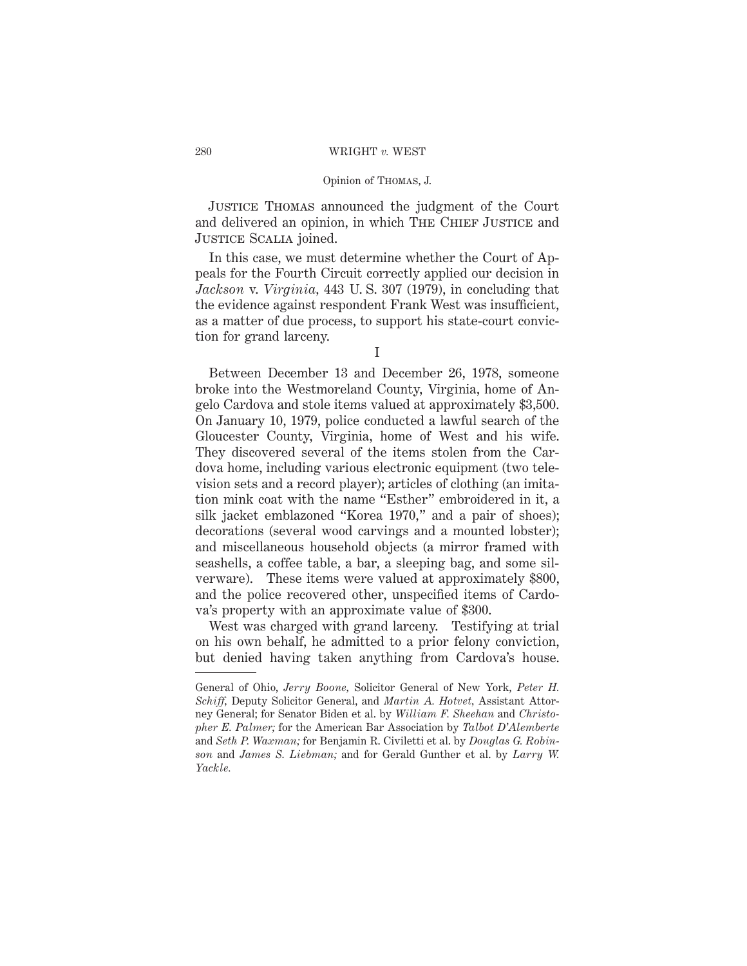#### Opinion of Thomas, J.

Justice Thomas announced the judgment of the Court and delivered an opinion, in which THE CHIEF JUSTICE and JUSTICE SCALIA joined.

In this case, we must determine whether the Court of Appeals for the Fourth Circuit correctly applied our decision in *Jackson* v. *Virginia,* 443 U. S. 307 (1979), in concluding that the evidence against respondent Frank West was insufficient, as a matter of due process, to support his state-court conviction for grand larceny.

Between December 13 and December 26, 1978, someone broke into the Westmoreland County, Virginia, home of Angelo Cardova and stole items valued at approximately \$3,500. On January 10, 1979, police conducted a lawful search of the Gloucester County, Virginia, home of West and his wife. They discovered several of the items stolen from the Cardova home, including various electronic equipment (two television sets and a record player); articles of clothing (an imitation mink coat with the name "Esther" embroidered in it, a silk jacket emblazoned "Korea 1970," and a pair of shoes); decorations (several wood carvings and a mounted lobster); and miscellaneous household objects (a mirror framed with seashells, a coffee table, a bar, a sleeping bag, and some silverware). These items were valued at approximately \$800, and the police recovered other, unspecified items of Cardova's property with an approximate value of \$300.

West was charged with grand larceny. Testifying at trial on his own behalf, he admitted to a prior felony conviction, but denied having taken anything from Cardova's house.

I

General of Ohio, *Jerry Boone,* Solicitor General of New York, *Peter H. Schiff,* Deputy Solicitor General, and *Martin A. Hotvet,* Assistant Attorney General; for Senator Biden et al. by *William F. Sheehan* and *Christopher E. Palmer;* for the American Bar Association by *Talbot D'Alemberte* and *Seth P. Waxman;* for Benjamin R. Civiletti et al. by *Douglas G. Robinson* and *James S. Liebman;* and for Gerald Gunther et al. by *Larry W. Yackle.*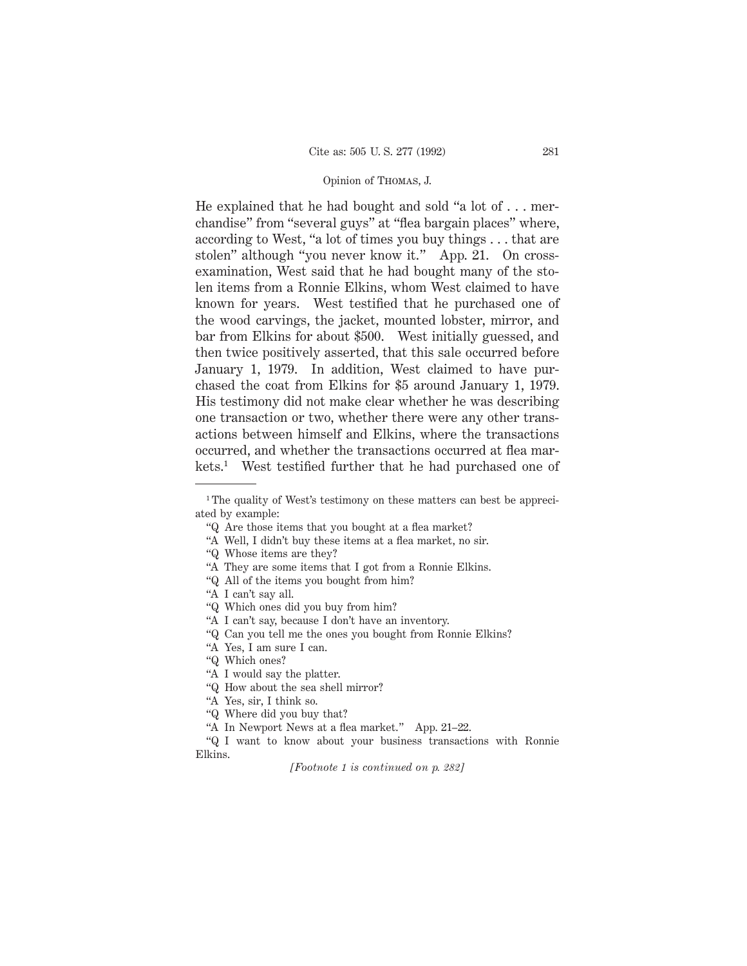He explained that he had bought and sold "a lot of . . . merchandise" from "several guys" at "flea bargain places" where, according to West, "a lot of times you buy things . . . that are stolen" although "you never know it." App. 21. On crossexamination, West said that he had bought many of the stolen items from a Ronnie Elkins, whom West claimed to have known for years. West testified that he purchased one of the wood carvings, the jacket, mounted lobster, mirror, and bar from Elkins for about \$500. West initially guessed, and then twice positively asserted, that this sale occurred before January 1, 1979. In addition, West claimed to have purchased the coat from Elkins for \$5 around January 1, 1979. His testimony did not make clear whether he was describing one transaction or two, whether there were any other transactions between himself and Elkins, where the transactions occurred, and whether the transactions occurred at flea markets.1 West testified further that he had purchased one of

"Q I want to know about your business transactions with Ronnie Elkins.

*[Footnote 1 is continued on p. 282]*

<sup>&</sup>lt;sup>1</sup>The quality of West's testimony on these matters can best be appreciated by example:

<sup>&</sup>quot;Q Are those items that you bought at a flea market?

<sup>&</sup>quot;A Well, I didn't buy these items at a flea market, no sir.

<sup>&</sup>quot;Q Whose items are they?

<sup>&</sup>quot;A They are some items that I got from a Ronnie Elkins.

<sup>&</sup>quot;Q All of the items you bought from him?

<sup>&</sup>quot;A I can't say all.

<sup>&</sup>quot;Q Which ones did you buy from him?

<sup>&</sup>quot;A I can't say, because I don't have an inventory.

<sup>&</sup>quot;Q Can you tell me the ones you bought from Ronnie Elkins?

<sup>&</sup>quot;A Yes, I am sure I can.

<sup>&</sup>quot;Q Which ones?

<sup>&</sup>quot;A I would say the platter.

<sup>&</sup>quot;Q How about the sea shell mirror?

<sup>&</sup>quot;A Yes, sir, I think so.

<sup>&</sup>quot;Q Where did you buy that?

<sup>&</sup>quot;A In Newport News at a flea market." App. 21–22.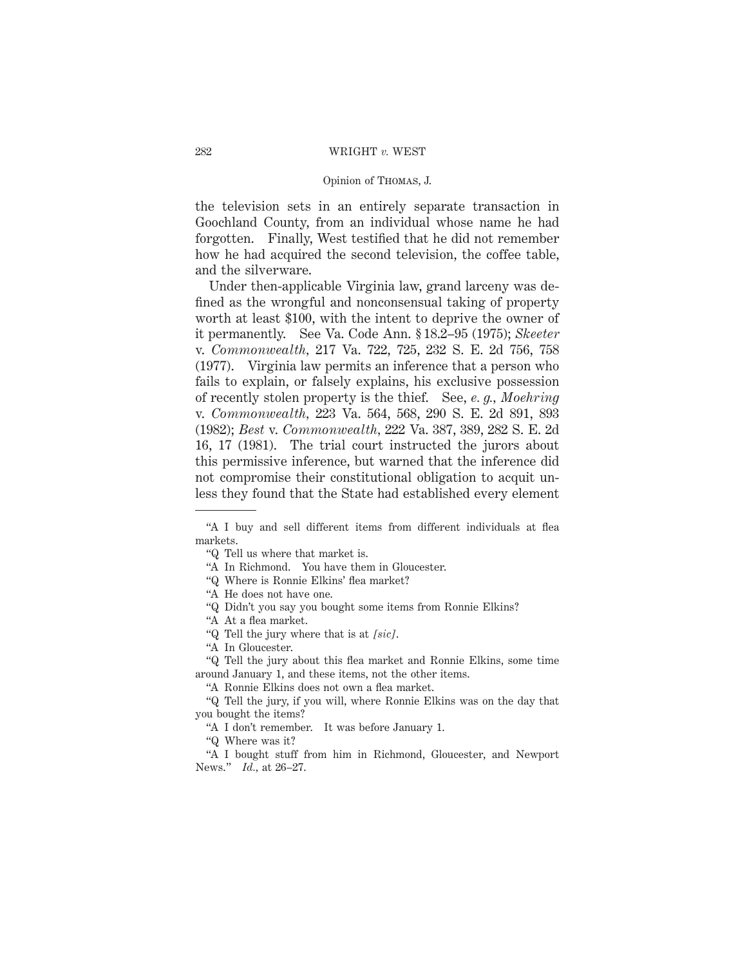the television sets in an entirely separate transaction in Goochland County, from an individual whose name he had forgotten. Finally, West testified that he did not remember how he had acquired the second television, the coffee table, and the silverware.

Under then-applicable Virginia law, grand larceny was defined as the wrongful and nonconsensual taking of property worth at least \$100, with the intent to deprive the owner of it permanently. See Va. Code Ann. § 18.2–95 (1975); *Skeeter* v. *Commonwealth,* 217 Va. 722, 725, 232 S. E. 2d 756, 758 (1977). Virginia law permits an inference that a person who fails to explain, or falsely explains, his exclusive possession of recently stolen property is the thief. See, *e. g., Moehring* v. *Commonwealth,* 223 Va. 564, 568, 290 S. E. 2d 891, 893 (1982); *Best* v. *Commonwealth,* 222 Va. 387, 389, 282 S. E. 2d 16, 17 (1981). The trial court instructed the jurors about this permissive inference, but warned that the inference did not compromise their constitutional obligation to acquit unless they found that the State had established every element

"Q Tell the jury about this flea market and Ronnie Elkins, some time around January 1, and these items, not the other items.

"A Ronnie Elkins does not own a flea market.

"Q Tell the jury, if you will, where Ronnie Elkins was on the day that you bought the items?

"A I don't remember. It was before January 1.

"Q Where was it?

"A I bought stuff from him in Richmond, Gloucester, and Newport News." *Id.,* at 26–27.

<sup>&</sup>quot;A I buy and sell different items from different individuals at flea markets.

<sup>&</sup>quot;Q Tell us where that market is.

<sup>&</sup>quot;A In Richmond. You have them in Gloucester.

<sup>&</sup>quot;Q Where is Ronnie Elkins' flea market?

<sup>&</sup>quot;A He does not have one.

<sup>&</sup>quot;Q Didn't you say you bought some items from Ronnie Elkins?

<sup>&</sup>quot;A At a flea market.

<sup>&</sup>quot;Q Tell the jury where that is at *[sic]*.

<sup>&</sup>quot;A In Gloucester.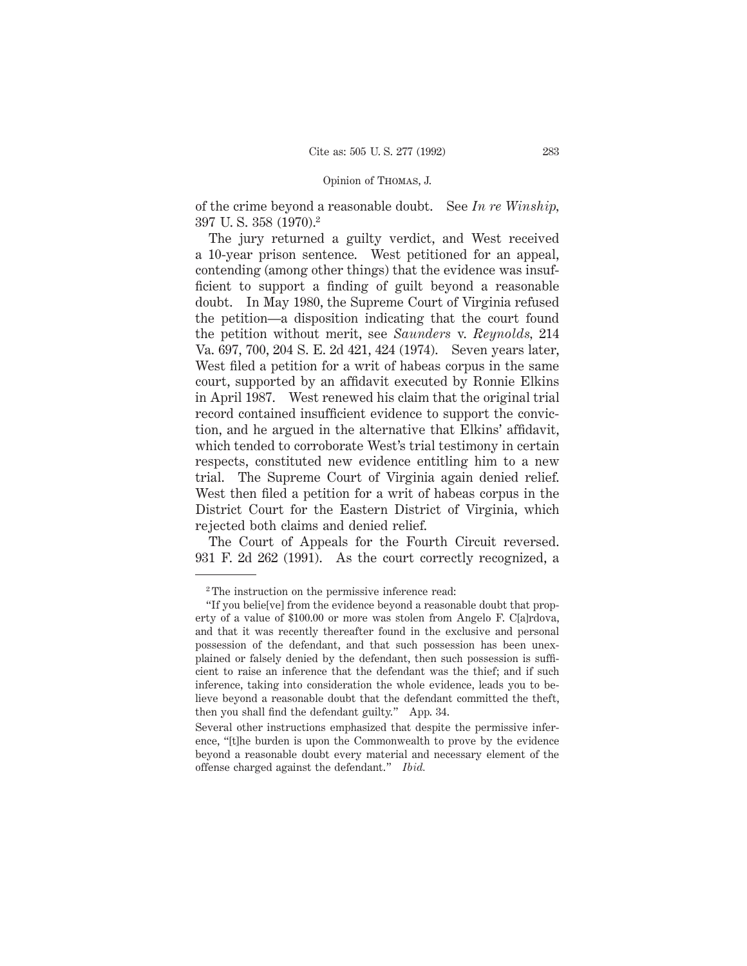of the crime beyond a reasonable doubt. See *In re Winship,* 397 U. S. 358 (1970).2

The jury returned a guilty verdict, and West received a 10-year prison sentence. West petitioned for an appeal, contending (among other things) that the evidence was insufficient to support a finding of guilt beyond a reasonable doubt. In May 1980, the Supreme Court of Virginia refused the petition—a disposition indicating that the court found the petition without merit, see *Saunders* v. *Reynolds,* 214 Va. 697, 700, 204 S. E. 2d 421, 424 (1974). Seven years later, West filed a petition for a writ of habeas corpus in the same court, supported by an affidavit executed by Ronnie Elkins in April 1987. West renewed his claim that the original trial record contained insufficient evidence to support the conviction, and he argued in the alternative that Elkins' affidavit, which tended to corroborate West's trial testimony in certain respects, constituted new evidence entitling him to a new trial. The Supreme Court of Virginia again denied relief. West then filed a petition for a writ of habeas corpus in the District Court for the Eastern District of Virginia, which rejected both claims and denied relief.

The Court of Appeals for the Fourth Circuit reversed. 931 F. 2d 262 (1991). As the court correctly recognized, a

<sup>2</sup> The instruction on the permissive inference read:

<sup>&</sup>quot;If you belie[ve] from the evidence beyond a reasonable doubt that property of a value of \$100.00 or more was stolen from Angelo F. C[a]rdova, and that it was recently thereafter found in the exclusive and personal possession of the defendant, and that such possession has been unexplained or falsely denied by the defendant, then such possession is sufficient to raise an inference that the defendant was the thief; and if such inference, taking into consideration the whole evidence, leads you to believe beyond a reasonable doubt that the defendant committed the theft, then you shall find the defendant guilty." App. 34.

Several other instructions emphasized that despite the permissive inference, "[t]he burden is upon the Commonwealth to prove by the evidence beyond a reasonable doubt every material and necessary element of the offense charged against the defendant." *Ibid.*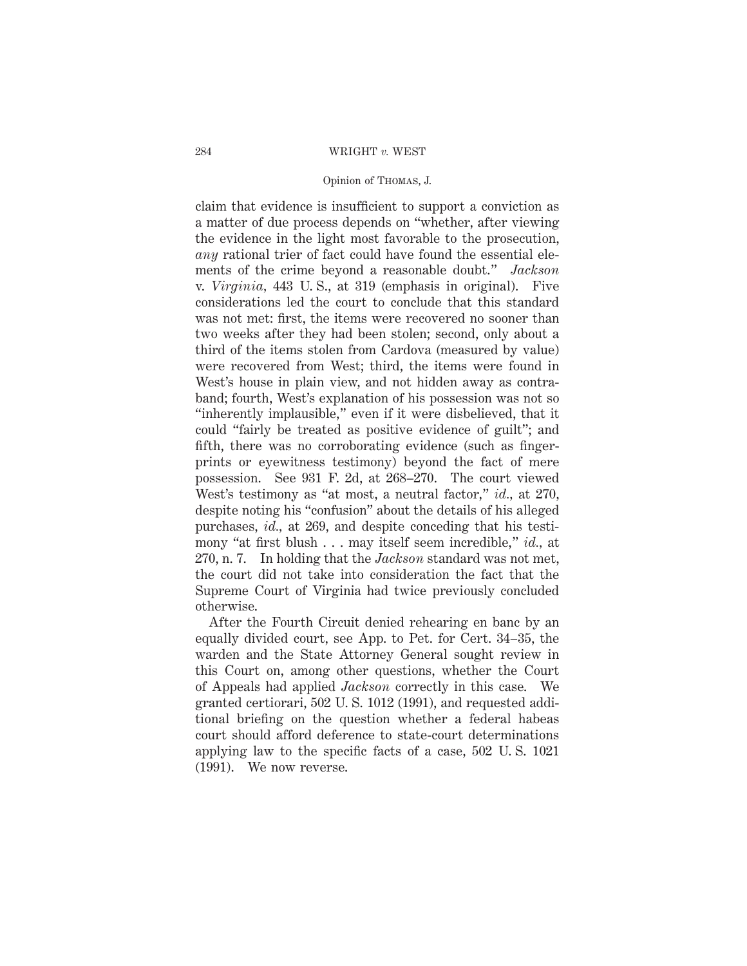#### Opinion of Thomas, J.

claim that evidence is insufficient to support a conviction as a matter of due process depends on "whether, after viewing the evidence in the light most favorable to the prosecution, *any* rational trier of fact could have found the essential elements of the crime beyond a reasonable doubt." *Jackson* v. *Virginia,* 443 U. S., at 319 (emphasis in original). Five considerations led the court to conclude that this standard was not met: first, the items were recovered no sooner than two weeks after they had been stolen; second, only about a third of the items stolen from Cardova (measured by value) were recovered from West; third, the items were found in West's house in plain view, and not hidden away as contraband; fourth, West's explanation of his possession was not so "inherently implausible," even if it were disbelieved, that it could "fairly be treated as positive evidence of guilt"; and fifth, there was no corroborating evidence (such as fingerprints or eyewitness testimony) beyond the fact of mere possession. See 931 F. 2d, at 268–270. The court viewed West's testimony as "at most, a neutral factor," *id.,* at 270, despite noting his "confusion" about the details of his alleged purchases, *id.,* at 269, and despite conceding that his testimony "at first blush . . . may itself seem incredible," *id.,* at 270, n. 7. In holding that the *Jackson* standard was not met, the court did not take into consideration the fact that the Supreme Court of Virginia had twice previously concluded otherwise.

After the Fourth Circuit denied rehearing en banc by an equally divided court, see App. to Pet. for Cert. 34–35, the warden and the State Attorney General sought review in this Court on, among other questions, whether the Court of Appeals had applied *Jackson* correctly in this case. We granted certiorari, 502 U. S. 1012 (1991), and requested additional briefing on the question whether a federal habeas court should afford deference to state-court determinations applying law to the specific facts of a case, 502 U. S. 1021 (1991). We now reverse.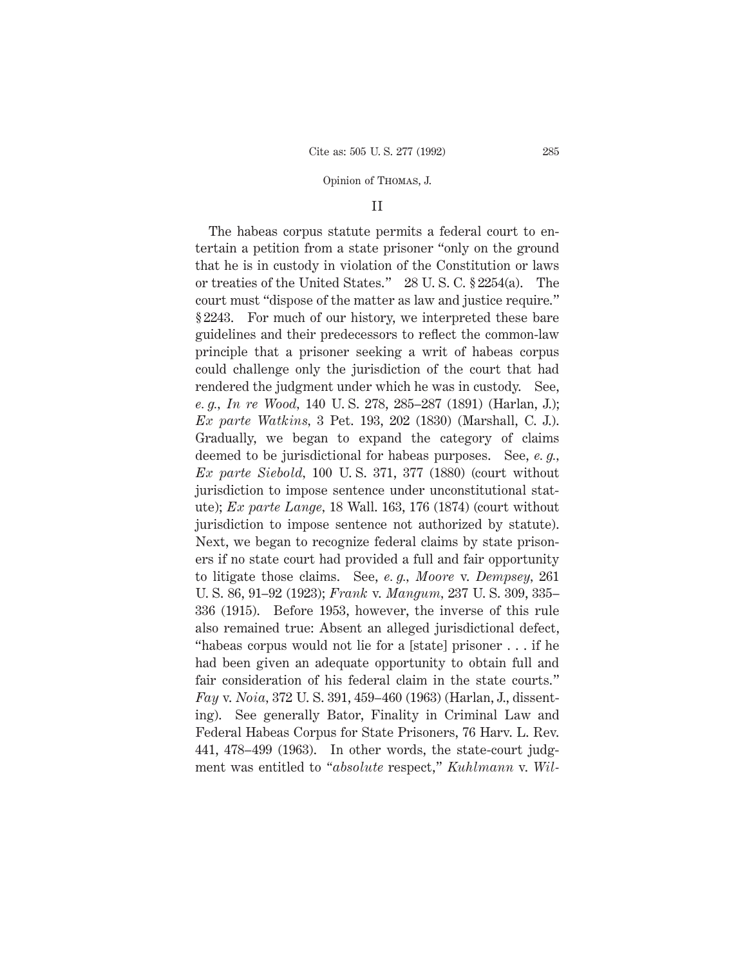### II

The habeas corpus statute permits a federal court to entertain a petition from a state prisoner "only on the ground that he is in custody in violation of the Constitution or laws or treaties of the United States." 28 U. S. C. § 2254(a). The court must "dispose of the matter as law and justice require." § 2243. For much of our history, we interpreted these bare guidelines and their predecessors to reflect the common-law principle that a prisoner seeking a writ of habeas corpus could challenge only the jurisdiction of the court that had rendered the judgment under which he was in custody. See, *e. g., In re Wood,* 140 U. S. 278, 285–287 (1891) (Harlan, J.); *Ex parte Watkins,* 3 Pet. 193, 202 (1830) (Marshall, C. J.). Gradually, we began to expand the category of claims deemed to be jurisdictional for habeas purposes. See, *e. g., Ex parte Siebold,* 100 U. S. 371, 377 (1880) (court without jurisdiction to impose sentence under unconstitutional statute); *Ex parte Lange,* 18 Wall. 163, 176 (1874) (court without jurisdiction to impose sentence not authorized by statute). Next, we began to recognize federal claims by state prisoners if no state court had provided a full and fair opportunity to litigate those claims. See, *e. g., Moore* v. *Dempsey,* 261 U. S. 86, 91–92 (1923); *Frank* v. *Mangum,* 237 U. S. 309, 335– 336 (1915). Before 1953, however, the inverse of this rule also remained true: Absent an alleged jurisdictional defect, "habeas corpus would not lie for a [state] prisoner . . . if he had been given an adequate opportunity to obtain full and fair consideration of his federal claim in the state courts." *Fay* v. *Noia,* 372 U. S. 391, 459–460 (1963) (Harlan, J., dissenting). See generally Bator, Finality in Criminal Law and Federal Habeas Corpus for State Prisoners, 76 Harv. L. Rev. 441, 478–499 (1963). In other words, the state-court judgment was entitled to *"absolute* respect," *Kuhlmann* v. *Wil-*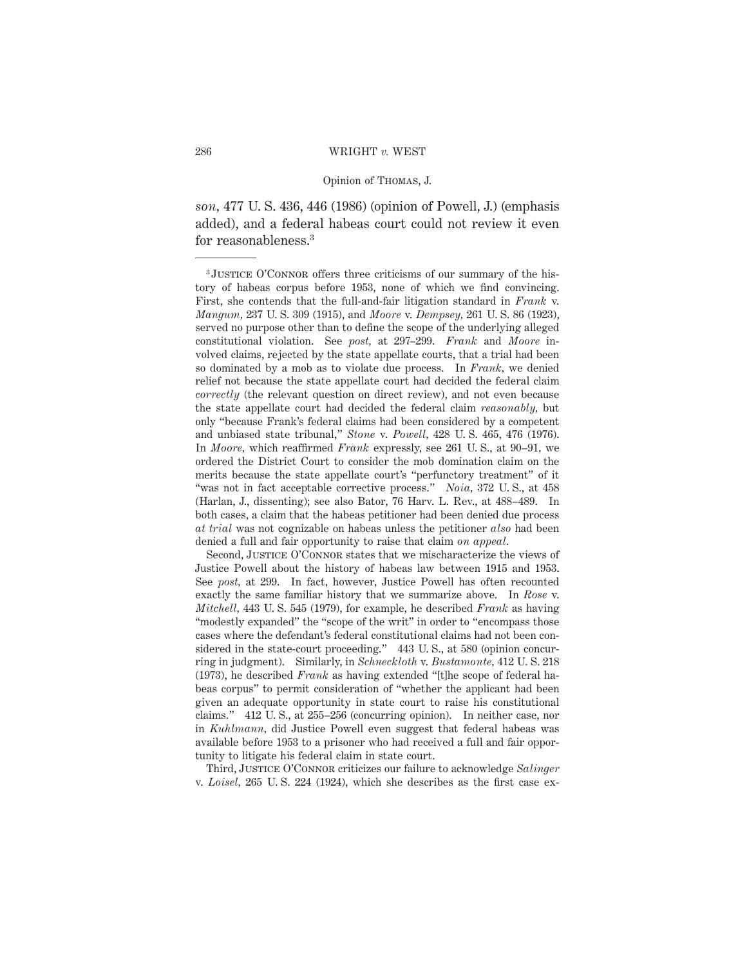*son,* 477 U. S. 436, 446 (1986) (opinion of Powell, J.) (emphasis added), and a federal habeas court could not review it even for reasonableness.<sup>3</sup>

Second, JUSTICE O'CONNOR states that we mischaracterize the views of Justice Powell about the history of habeas law between 1915 and 1953. See *post,* at 299. In fact, however, Justice Powell has often recounted exactly the same familiar history that we summarize above. In *Rose* v. *Mitchell,* 443 U. S. 545 (1979), for example, he described *Frank* as having "modestly expanded" the "scope of the writ" in order to "encompass those cases where the defendant's federal constitutional claims had not been considered in the state-court proceeding." 443 U. S., at 580 (opinion concurring in judgment). Similarly, in *Schneckloth* v. *Bustamonte,* 412 U. S. 218 (1973), he described *Frank* as having extended "[t]he scope of federal habeas corpus" to permit consideration of "whether the applicant had been given an adequate opportunity in state court to raise his constitutional claims." 412 U. S., at 255–256 (concurring opinion). In neither case, nor in *Kuhlmann,* did Justice Powell even suggest that federal habeas was available before 1953 to a prisoner who had received a full and fair opportunity to litigate his federal claim in state court.

Third, Justice O'Connor criticizes our failure to acknowledge *Salinger* v. *Loisel,* 265 U. S. 224 (1924), which she describes as the first case ex-

<sup>&</sup>lt;sup>3</sup> JUSTICE O'CONNOR offers three criticisms of our summary of the history of habeas corpus before 1953, none of which we find convincing. First, she contends that the full-and-fair litigation standard in *Frank* v. *Mangum,* 237 U. S. 309 (1915), and *Moore* v. *Dempsey,* 261 U. S. 86 (1923), served no purpose other than to define the scope of the underlying alleged constitutional violation. See *post,* at 297–299. *Frank* and *Moore* involved claims, rejected by the state appellate courts, that a trial had been so dominated by a mob as to violate due process. In *Frank,* we denied relief not because the state appellate court had decided the federal claim *correctly* (the relevant question on direct review), and not even because the state appellate court had decided the federal claim *reasonably,* but only "because Frank's federal claims had been considered by a competent and unbiased state tribunal," *Stone* v. *Powell,* 428 U. S. 465, 476 (1976). In *Moore,* which reaffirmed *Frank* expressly, see 261 U. S., at 90–91, we ordered the District Court to consider the mob domination claim on the merits because the state appellate court's "perfunctory treatment" of it "was not in fact acceptable corrective process." *Noia,* 372 U. S., at 458 (Harlan, J., dissenting); see also Bator, 76 Harv. L. Rev., at 488–489. In both cases, a claim that the habeas petitioner had been denied due process *at trial* was not cognizable on habeas unless the petitioner *also* had been denied a full and fair opportunity to raise that claim *on appeal.*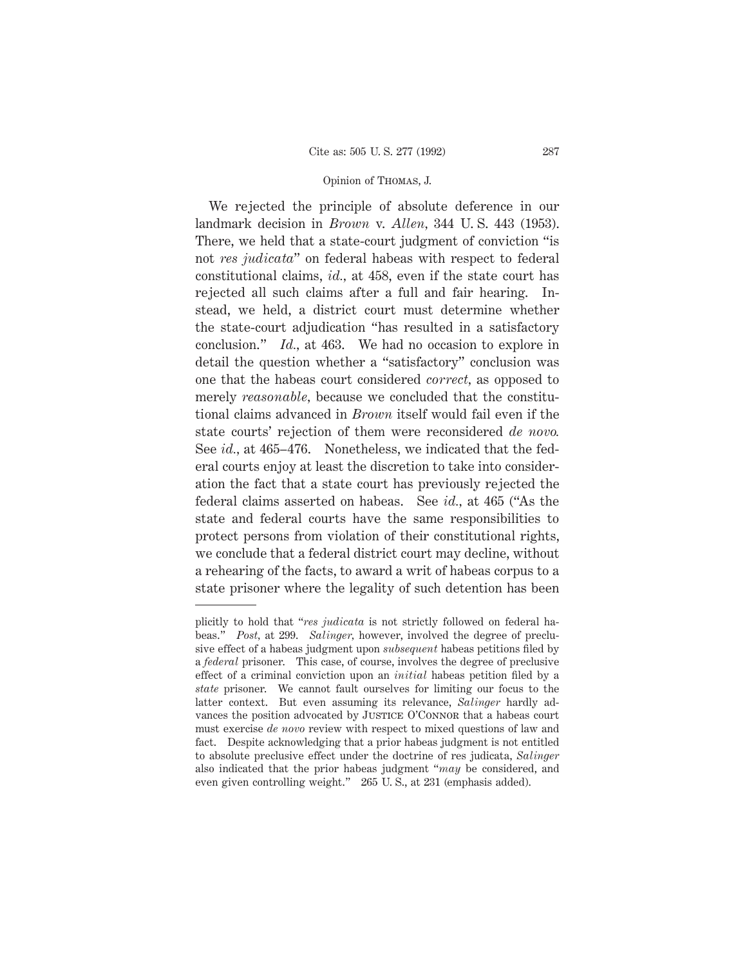We rejected the principle of absolute deference in our landmark decision in *Brown* v. *Allen,* 344 U. S. 443 (1953). There, we held that a state-court judgment of conviction "is not *res judicata*" on federal habeas with respect to federal constitutional claims, *id.,* at 458, even if the state court has rejected all such claims after a full and fair hearing. Instead, we held, a district court must determine whether the state-court adjudication "has resulted in a satisfactory conclusion." *Id.,* at 463. We had no occasion to explore in detail the question whether a "satisfactory" conclusion was one that the habeas court considered *correct,* as opposed to merely *reasonable*, because we concluded that the constitutional claims advanced in *Brown* itself would fail even if the state courts' rejection of them were reconsidered *de novo.* See *id.,* at 465–476. Nonetheless, we indicated that the federal courts enjoy at least the discretion to take into consideration the fact that a state court has previously rejected the federal claims asserted on habeas. See *id.,* at 465 ("As the state and federal courts have the same responsibilities to protect persons from violation of their constitutional rights, we conclude that a federal district court may decline, without a rehearing of the facts, to award a writ of habeas corpus to a state prisoner where the legality of such detention has been

plicitly to hold that "*res judicata* is not strictly followed on federal habeas." *Post,* at 299. *Salinger,* however, involved the degree of preclusive effect of a habeas judgment upon *subsequent* habeas petitions filed by a *federal* prisoner. This case, of course, involves the degree of preclusive effect of a criminal conviction upon an *initial* habeas petition filed by a *state* prisoner. We cannot fault ourselves for limiting our focus to the latter context. But even assuming its relevance, *Salinger* hardly advances the position advocated by JUSTICE O'CONNOR that a habeas court must exercise *de novo* review with respect to mixed questions of law and fact. Despite acknowledging that a prior habeas judgment is not entitled to absolute preclusive effect under the doctrine of res judicata, *Salinger* also indicated that the prior habeas judgment "*may* be considered, and even given controlling weight." 265 U. S., at 231 (emphasis added).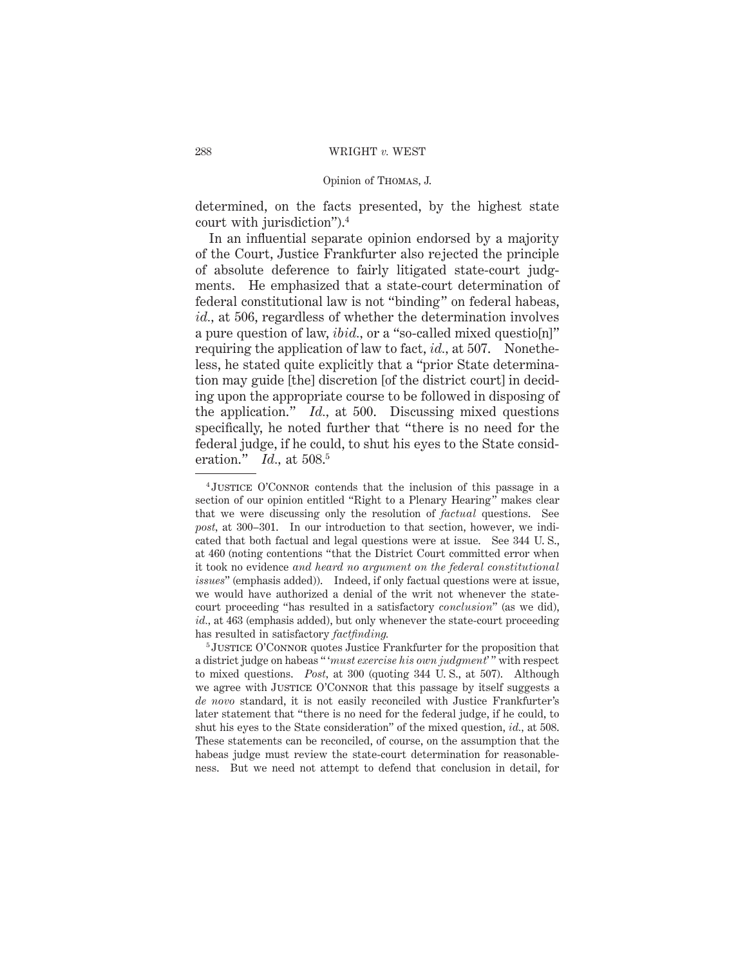determined, on the facts presented, by the highest state court with jurisdiction").4

In an influential separate opinion endorsed by a majority of the Court, Justice Frankfurter also rejected the principle of absolute deference to fairly litigated state-court judgments. He emphasized that a state-court determination of federal constitutional law is not "binding" on federal habeas, *id.,* at 506, regardless of whether the determination involves a pure question of law, *ibid.,* or a "so-called mixed questio[n]" requiring the application of law to fact, *id.,* at 507. Nonetheless, he stated quite explicitly that a "prior State determination may guide [the] discretion [of the district court] in deciding upon the appropriate course to be followed in disposing of the application." *Id.,* at 500. Discussing mixed questions specifically, he noted further that "there is no need for the federal judge, if he could, to shut his eyes to the State consideration." *Id.,* at 508.5

<sup>4</sup> Justice O'Connor contends that the inclusion of this passage in a section of our opinion entitled "Right to a Plenary Hearing" makes clear that we were discussing only the resolution of *factual* questions. See *post,* at 300–301. In our introduction to that section, however, we indicated that both factual and legal questions were at issue. See 344 U. S., at 460 (noting contentions "that the District Court committed error when it took no evidence *and heard no argument on the federal constitutional issues*" (emphasis added)). Indeed, if only factual questions were at issue, we would have authorized a denial of the writ not whenever the statecourt proceeding "has resulted in a satisfactory *conclusion*" (as we did), *id.,* at 463 (emphasis added), but only whenever the state-court proceeding has resulted in satisfactory *factfinding.*

<sup>&</sup>lt;sup>5</sup> JUSTICE O'CONNOR quotes Justice Frankfurter for the proposition that a district judge on habeas " '*must exercise his own judgment*' " with respect to mixed questions. *Post,* at 300 (quoting 344 U. S., at 507). Although we agree with JUSTICE O'CONNOR that this passage by itself suggests a *de novo* standard, it is not easily reconciled with Justice Frankfurter's later statement that "there is no need for the federal judge, if he could, to shut his eyes to the State consideration" of the mixed question, *id.,* at 508. These statements can be reconciled, of course, on the assumption that the habeas judge must review the state-court determination for reasonableness. But we need not attempt to defend that conclusion in detail, for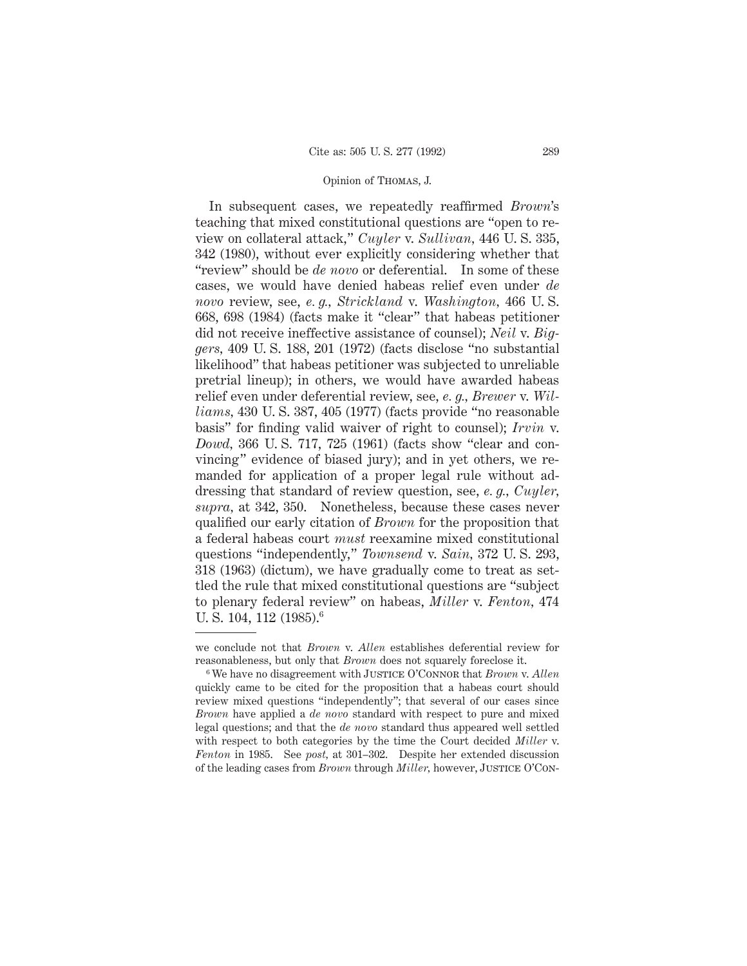In subsequent cases, we repeatedly reaffirmed *Brown*'s teaching that mixed constitutional questions are "open to review on collateral attack," *Cuyler* v. *Sullivan,* 446 U. S. 335, 342 (1980), without ever explicitly considering whether that "review" should be *de novo* or deferential. In some of these cases, we would have denied habeas relief even under *de novo* review, see, *e. g., Strickland* v. *Washington,* 466 U. S. 668, 698 (1984) (facts make it "clear" that habeas petitioner did not receive ineffective assistance of counsel); *Neil* v. *Biggers,* 409 U. S. 188, 201 (1972) (facts disclose "no substantial likelihood" that habeas petitioner was subjected to unreliable pretrial lineup); in others, we would have awarded habeas relief even under deferential review, see, *e. g., Brewer* v. *Williams,* 430 U. S. 387, 405 (1977) (facts provide "no reasonable basis" for finding valid waiver of right to counsel); *Irvin* v. *Dowd,* 366 U. S. 717, 725 (1961) (facts show "clear and convincing" evidence of biased jury); and in yet others, we remanded for application of a proper legal rule without addressing that standard of review question, see, *e. g., Cuyler, supra,* at 342, 350. Nonetheless, because these cases never qualified our early citation of *Brown* for the proposition that a federal habeas court *must* reexamine mixed constitutional questions "independently," *Townsend* v. *Sain,* 372 U. S. 293, 318 (1963) (dictum), we have gradually come to treat as settled the rule that mixed constitutional questions are "subject to plenary federal review" on habeas, *Miller* v. *Fenton,* 474 U. S. 104, 112 (1985).<sup>6</sup>

we conclude not that *Brown* v. *Allen* establishes deferential review for reasonableness, but only that *Brown* does not squarely foreclose it.

<sup>6</sup> We have no disagreement with Justice O'Connor that *Brown* v. *Allen* quickly came to be cited for the proposition that a habeas court should review mixed questions "independently"; that several of our cases since *Brown* have applied a *de novo* standard with respect to pure and mixed legal questions; and that the *de novo* standard thus appeared well settled with respect to both categories by the time the Court decided *Miller* v. *Fenton* in 1985. See *post,* at 301–302. Despite her extended discussion of the leading cases from *Brown* through *Miller,* however, Justice O'Con-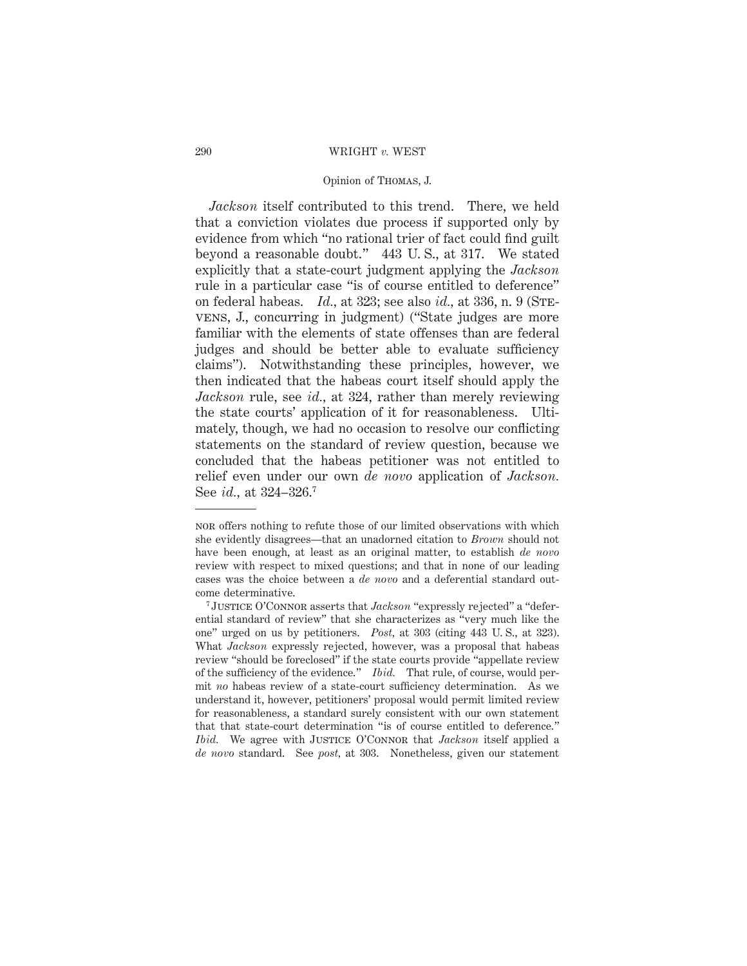#### Opinion of Thomas, J.

*Jackson* itself contributed to this trend. There, we held that a conviction violates due process if supported only by evidence from which "no rational trier of fact could find guilt beyond a reasonable doubt." 443 U. S., at 317. We stated explicitly that a state-court judgment applying the *Jackson* rule in a particular case "is of course entitled to deference" on federal habeas. *Id.,* at 323; see also *id.,* at 336, n. 9 (Stevens, J., concurring in judgment) ("State judges are more familiar with the elements of state offenses than are federal judges and should be better able to evaluate sufficiency claims"). Notwithstanding these principles, however, we then indicated that the habeas court itself should apply the *Jackson* rule, see *id.,* at 324, rather than merely reviewing the state courts' application of it for reasonableness. Ultimately, though, we had no occasion to resolve our conflicting statements on the standard of review question, because we concluded that the habeas petitioner was not entitled to relief even under our own *de novo* application of *Jackson.* See *id.,* at 324–326.7

nor offers nothing to refute those of our limited observations with which she evidently disagrees—that an unadorned citation to *Brown* should not have been enough, at least as an original matter, to establish *de novo* review with respect to mixed questions; and that in none of our leading cases was the choice between a *de novo* and a deferential standard outcome determinative.

<sup>7</sup> Justice O'Connor asserts that *Jackson* "expressly rejected" a "deferential standard of review" that she characterizes as "very much like the one" urged on us by petitioners. *Post,* at 303 (citing 443 U. S., at 323). What *Jackson* expressly rejected, however, was a proposal that habeas review "should be foreclosed" if the state courts provide "appellate review of the sufficiency of the evidence." *Ibid.* That rule, of course, would permit *no* habeas review of a state-court sufficiency determination. As we understand it, however, petitioners' proposal would permit limited review for reasonableness, a standard surely consistent with our own statement that that state-court determination "is of course entitled to deference." *Ibid.* We agree with JUSTICE O'CONNOR that *Jackson* itself applied a *de novo* standard. See *post,* at 303. Nonetheless, given our statement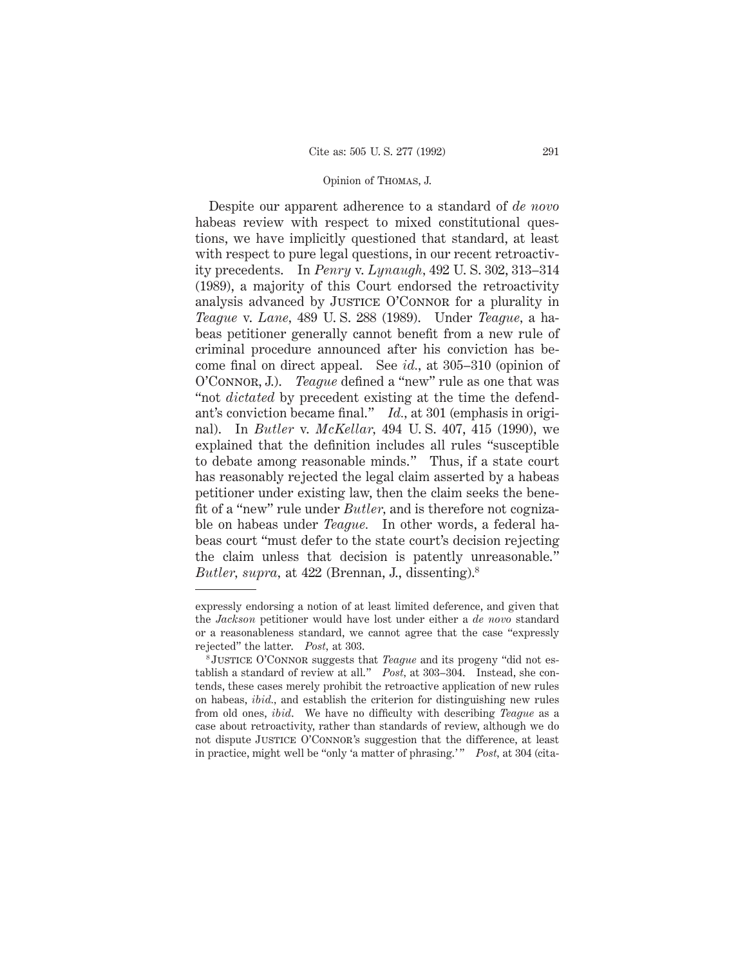Despite our apparent adherence to a standard of *de novo* habeas review with respect to mixed constitutional questions, we have implicitly questioned that standard, at least with respect to pure legal questions, in our recent retroactivity precedents. In *Penry* v. *Lynaugh,* 492 U. S. 302, 313–314 (1989), a majority of this Court endorsed the retroactivity analysis advanced by JUSTICE O'CONNOR for a plurality in *Teague* v. *Lane,* 489 U. S. 288 (1989). Under *Teague,* a habeas petitioner generally cannot benefit from a new rule of criminal procedure announced after his conviction has become final on direct appeal. See *id.,* at 305–310 (opinion of O'CONNOR, J.). *Teague* defined a "new" rule as one that was "not *dictated* by precedent existing at the time the defendant's conviction became final." *Id.,* at 301 (emphasis in original). In *Butler* v. *McKellar,* 494 U. S. 407, 415 (1990), we explained that the definition includes all rules "susceptible to debate among reasonable minds." Thus, if a state court has reasonably rejected the legal claim asserted by a habeas petitioner under existing law, then the claim seeks the benefit of a "new" rule under *Butler,* and is therefore not cognizable on habeas under *Teague.* In other words, a federal habeas court "must defer to the state court's decision rejecting the claim unless that decision is patently unreasonable." *Butler, supra,* at 422 (Brennan, J., dissenting).8

expressly endorsing a notion of at least limited deference, and given that the *Jackson* petitioner would have lost under either a *de novo* standard or a reasonableness standard, we cannot agree that the case "expressly rejected" the latter. *Post,* at 303.

<sup>&</sup>lt;sup>8</sup> JUSTICE O'CONNOR suggests that *Teague* and its progeny "did not establish a standard of review at all." *Post,* at 303–304. Instead, she contends, these cases merely prohibit the retroactive application of new rules on habeas, *ibid.,* and establish the criterion for distinguishing new rules from old ones, *ibid*. We have no difficulty with describing *Teague* as a case about retroactivity, rather than standards of review, although we do not dispute JUSTICE O'CONNOR's suggestion that the difference, at least in practice, might well be "only 'a matter of phrasing.'" *Post*, at 304 (cita-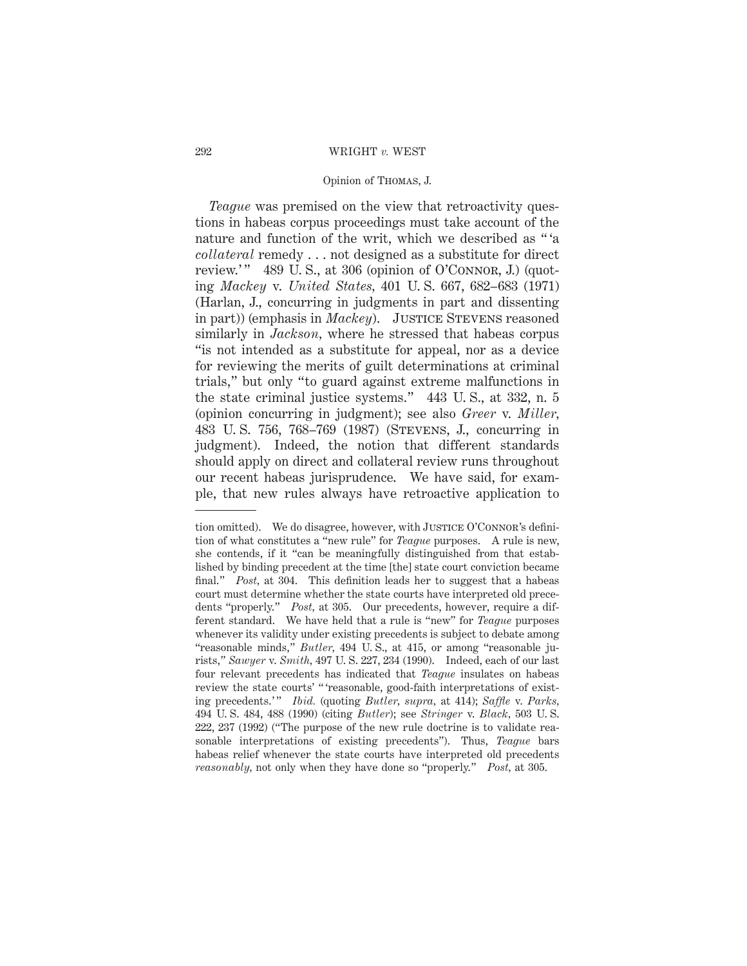### Opinion of Thomas, J.

*Teague* was premised on the view that retroactivity questions in habeas corpus proceedings must take account of the nature and function of the writ, which we described as "'a *collateral* remedy . . . not designed as a substitute for direct review.'"  $489 \text{ U.S., at } 306 \text{ (opinion of O'CONNOR, J.) (quot-}$ ing *Mackey* v. *United States,* 401 U. S. 667, 682–683 (1971) (Harlan, J., concurring in judgments in part and dissenting in part)) (emphasis in *Mackey*). JUSTICE STEVENS reasoned similarly in *Jackson,* where he stressed that habeas corpus "is not intended as a substitute for appeal, nor as a device for reviewing the merits of guilt determinations at criminal trials," but only "to guard against extreme malfunctions in the state criminal justice systems." 443 U. S., at 332, n. 5 (opinion concurring in judgment); see also *Greer* v. *Miller,* 483 U. S. 756, 768–769 (1987) (Stevens, J., concurring in judgment). Indeed, the notion that different standards should apply on direct and collateral review runs throughout our recent habeas jurisprudence. We have said, for example, that new rules always have retroactive application to

tion omitted). We do disagree, however, with JUSTICE O'CONNOR's definition of what constitutes a "new rule" for *Teague* purposes. A rule is new, she contends, if it "can be meaningfully distinguished from that established by binding precedent at the time [the] state court conviction became final." *Post,* at 304. This definition leads her to suggest that a habeas court must determine whether the state courts have interpreted old precedents "properly." *Post,* at 305. Our precedents, however, require a different standard. We have held that a rule is "new" for *Teague* purposes whenever its validity under existing precedents is subject to debate among "reasonable minds," *Butler,* 494 U. S., at 415, or among "reasonable jurists," *Sawyer* v. *Smith,* 497 U. S. 227, 234 (1990). Indeed, each of our last four relevant precedents has indicated that *Teague* insulates on habeas review the state courts' "'reasonable, good-faith interpretations of existing precedents.'" *Ibid.* (quoting *Butler, supra,* at 414); *Saffle* v. *Parks,* 494 U. S. 484, 488 (1990) (citing *Butler*); see *Stringer* v. *Black,* 503 U. S. 222, 237 (1992) ("The purpose of the new rule doctrine is to validate reasonable interpretations of existing precedents"). Thus, *Teague* bars habeas relief whenever the state courts have interpreted old precedents *reasonably,* not only when they have done so "properly." *Post,* at 305.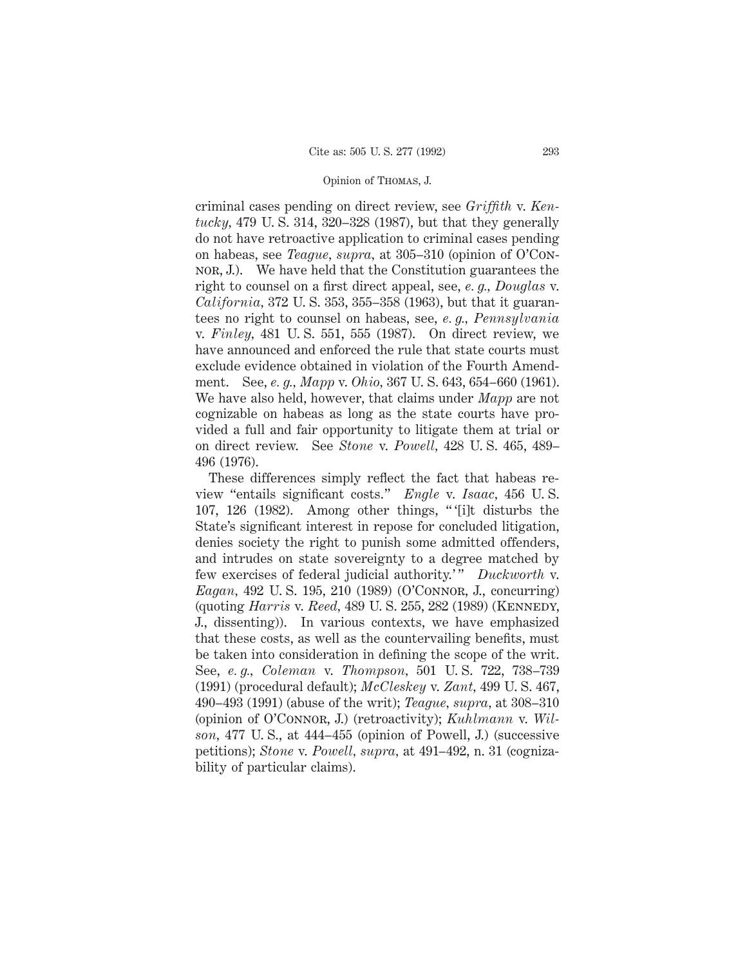criminal cases pending on direct review, see *Griffith* v. *Kentucky,* 479 U. S. 314, 320–328 (1987), but that they generally do not have retroactive application to criminal cases pending on habeas, see *Teague, supra,* at 305–310 (opinion of O'Connor, J.). We have held that the Constitution guarantees the right to counsel on a first direct appeal, see, *e. g., Douglas* v. *California,* 372 U. S. 353, 355–358 (1963), but that it guarantees no right to counsel on habeas, see, *e. g., Pennsylvania* v. *Finley,* 481 U. S. 551, 555 (1987). On direct review, we have announced and enforced the rule that state courts must exclude evidence obtained in violation of the Fourth Amendment. See, *e. g., Mapp* v. *Ohio,* 367 U. S. 643, 654–660 (1961). We have also held, however, that claims under *Mapp* are not cognizable on habeas as long as the state courts have provided a full and fair opportunity to litigate them at trial or on direct review. See *Stone* v. *Powell,* 428 U. S. 465, 489– 496 (1976).

These differences simply reflect the fact that habeas review "entails significant costs." *Engle* v. *Isaac,* 456 U. S. 107, 126 (1982). Among other things, " '[i]t disturbs the State's significant interest in repose for concluded litigation, denies society the right to punish some admitted offenders, and intrudes on state sovereignty to a degree matched by few exercises of federal judicial authority.'" *Duckworth* v. *Eagan,* 492 U. S. 195, 210 (1989) (O'Connor, J., concurring) (quoting *Harris* v. *Reed,* 489 U. S. 255, 282 (1989) (Kennedy, J., dissenting)). In various contexts, we have emphasized that these costs, as well as the countervailing benefits, must be taken into consideration in defining the scope of the writ. See, *e. g., Coleman* v. *Thompson,* 501 U. S. 722, 738–739 (1991) (procedural default); *McCleskey* v. *Zant,* 499 U. S. 467, 490–493 (1991) (abuse of the writ); *Teague, supra,* at 308–310 (opinion of O'Connor, J.) (retroactivity); *Kuhlmann* v. *Wilson,* 477 U. S., at 444–455 (opinion of Powell, J.) (successive petitions); *Stone* v. *Powell, supra,* at 491–492, n. 31 (cognizability of particular claims).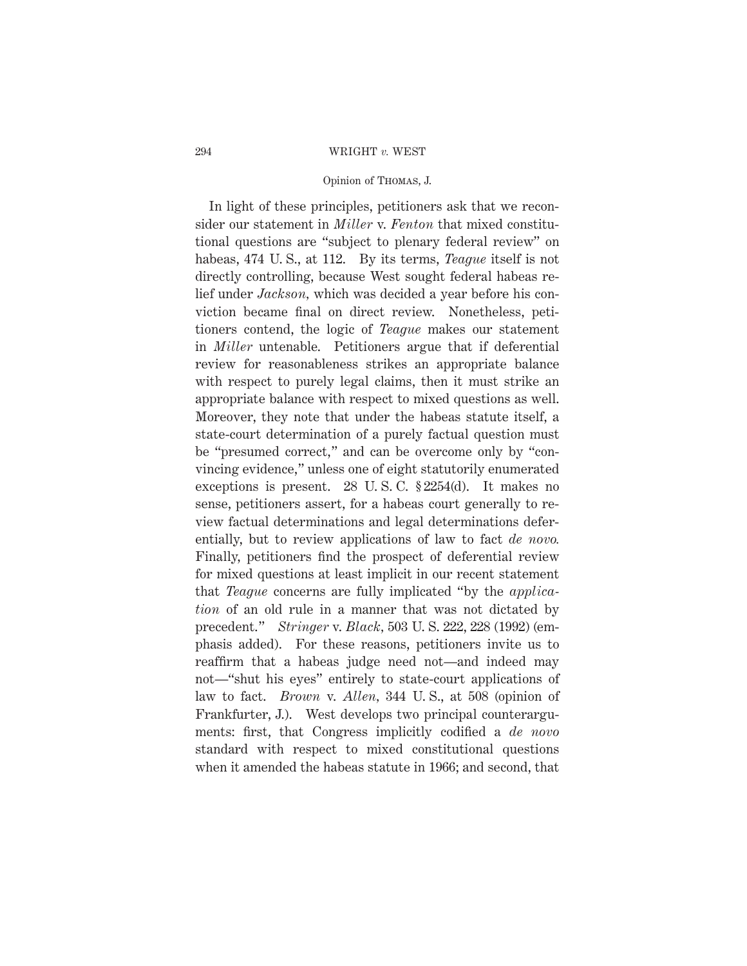### Opinion of Thomas, J.

In light of these principles, petitioners ask that we reconsider our statement in *Miller* v. *Fenton* that mixed constitutional questions are "subject to plenary federal review" on habeas, 474 U. S., at 112. By its terms, *Teague* itself is not directly controlling, because West sought federal habeas relief under *Jackson,* which was decided a year before his conviction became final on direct review. Nonetheless, petitioners contend, the logic of *Teague* makes our statement in *Miller* untenable. Petitioners argue that if deferential review for reasonableness strikes an appropriate balance with respect to purely legal claims, then it must strike an appropriate balance with respect to mixed questions as well. Moreover, they note that under the habeas statute itself, a state-court determination of a purely factual question must be "presumed correct," and can be overcome only by "convincing evidence," unless one of eight statutorily enumerated exceptions is present. 28 U. S. C. § 2254(d). It makes no sense, petitioners assert, for a habeas court generally to review factual determinations and legal determinations deferentially, but to review applications of law to fact *de novo.* Finally, petitioners find the prospect of deferential review for mixed questions at least implicit in our recent statement that *Teague* concerns are fully implicated "by the *application* of an old rule in a manner that was not dictated by precedent." *Stringer* v. *Black,* 503 U. S. 222, 228 (1992) (emphasis added). For these reasons, petitioners invite us to reaffirm that a habeas judge need not—and indeed may not—"shut his eyes" entirely to state-court applications of law to fact. *Brown* v. *Allen,* 344 U. S., at 508 (opinion of Frankfurter, J.). West develops two principal counterarguments: first, that Congress implicitly codified a *de novo* standard with respect to mixed constitutional questions when it amended the habeas statute in 1966; and second, that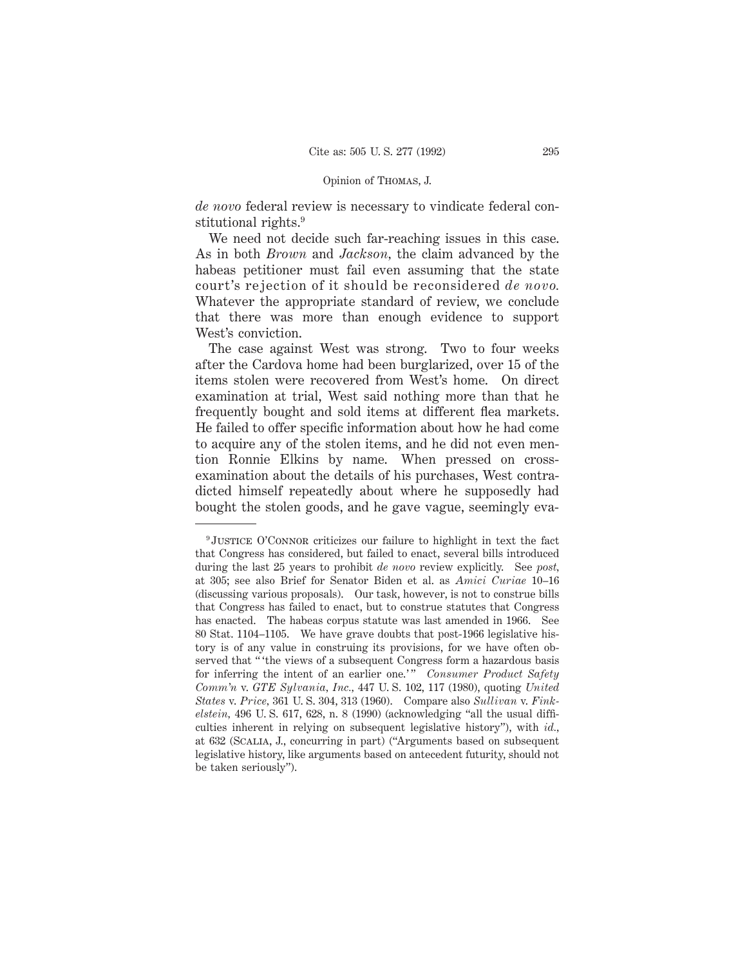*de novo* federal review is necessary to vindicate federal constitutional rights.9

We need not decide such far-reaching issues in this case. As in both *Brown* and *Jackson,* the claim advanced by the habeas petitioner must fail even assuming that the state court's rejection of it should be reconsidered *de novo.* Whatever the appropriate standard of review, we conclude that there was more than enough evidence to support West's conviction.

The case against West was strong. Two to four weeks after the Cardova home had been burglarized, over 15 of the items stolen were recovered from West's home. On direct examination at trial, West said nothing more than that he frequently bought and sold items at different flea markets. He failed to offer specific information about how he had come to acquire any of the stolen items, and he did not even mention Ronnie Elkins by name. When pressed on crossexamination about the details of his purchases, West contradicted himself repeatedly about where he supposedly had bought the stolen goods, and he gave vague, seemingly eva-

<sup>&</sup>lt;sup>9</sup> JUSTICE O'CONNOR criticizes our failure to highlight in text the fact that Congress has considered, but failed to enact, several bills introduced during the last 25 years to prohibit *de novo* review explicitly. See *post,* at 305; see also Brief for Senator Biden et al. as *Amici Curiae* 10–16 (discussing various proposals). Our task, however, is not to construe bills that Congress has failed to enact, but to construe statutes that Congress has enacted. The habeas corpus statute was last amended in 1966. See 80 Stat. 1104–1105. We have grave doubts that post-1966 legislative history is of any value in construing its provisions, for we have often observed that " 'the views of a subsequent Congress form a hazardous basis for inferring the intent of an earlier one.'" Consumer Product Safety *Comm'n* v. *GTE Sylvania, Inc.,* 447 U. S. 102, 117 (1980), quoting *United States* v. *Price,* 361 U. S. 304, 313 (1960). Compare also *Sullivan* v. *Finkelstein,* 496 U. S. 617, 628, n. 8 (1990) (acknowledging "all the usual difficulties inherent in relying on subsequent legislative history"), with *id.,* at 632 (Scalia, J., concurring in part) ("Arguments based on subsequent legislative history, like arguments based on antecedent futurity, should not be taken seriously").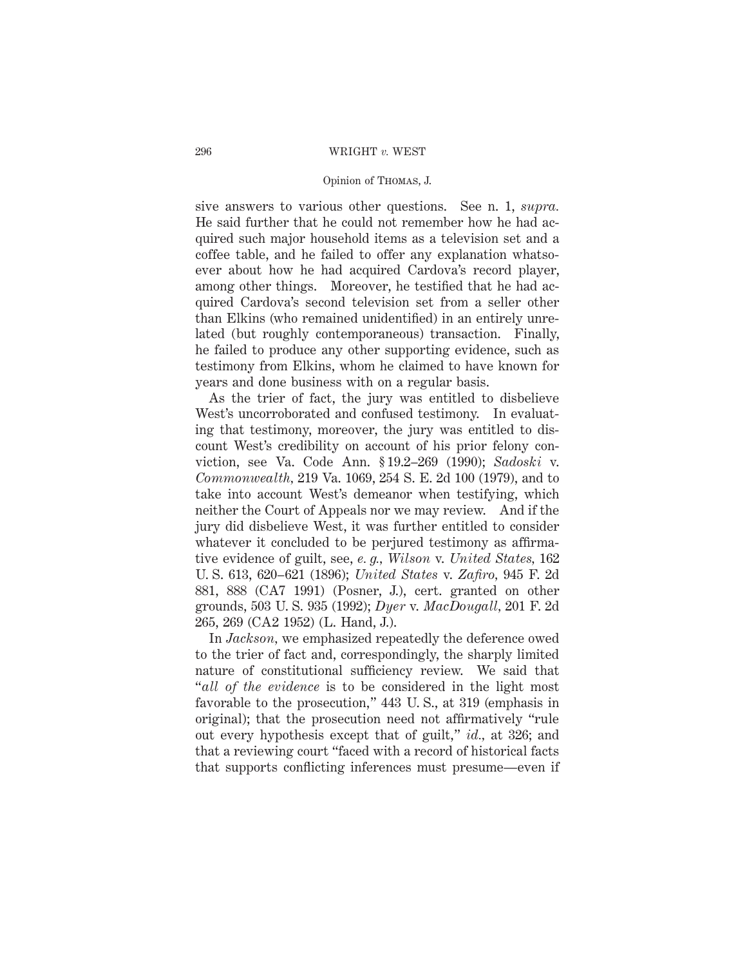#### Opinion of Thomas, J.

sive answers to various other questions. See n. 1, *supra.* He said further that he could not remember how he had acquired such major household items as a television set and a coffee table, and he failed to offer any explanation whatsoever about how he had acquired Cardova's record player, among other things. Moreover, he testified that he had acquired Cardova's second television set from a seller other than Elkins (who remained unidentified) in an entirely unrelated (but roughly contemporaneous) transaction. Finally, he failed to produce any other supporting evidence, such as testimony from Elkins, whom he claimed to have known for years and done business with on a regular basis.

As the trier of fact, the jury was entitled to disbelieve West's uncorroborated and confused testimony. In evaluating that testimony, moreover, the jury was entitled to discount West's credibility on account of his prior felony conviction, see Va. Code Ann. § 19.2–269 (1990); *Sadoski* v. *Commonwealth,* 219 Va. 1069, 254 S. E. 2d 100 (1979), and to take into account West's demeanor when testifying, which neither the Court of Appeals nor we may review. And if the jury did disbelieve West, it was further entitled to consider whatever it concluded to be perjured testimony as affirmative evidence of guilt, see, *e. g., Wilson* v. *United States,* 162 U. S. 613, 620–621 (1896); *United States* v. *Zafiro,* 945 F. 2d 881, 888 (CA7 1991) (Posner, J.), cert. granted on other grounds, 503 U. S. 935 (1992); *Dyer* v. *MacDougall,* 201 F. 2d 265, 269 (CA2 1952) (L. Hand, J.).

In *Jackson,* we emphasized repeatedly the deference owed to the trier of fact and, correspondingly, the sharply limited nature of constitutional sufficiency review. We said that "*all of the evidence* is to be considered in the light most favorable to the prosecution," 443 U. S., at 319 (emphasis in original); that the prosecution need not affirmatively "rule out every hypothesis except that of guilt," *id.,* at 326; and that a reviewing court "faced with a record of historical facts that supports conflicting inferences must presume—even if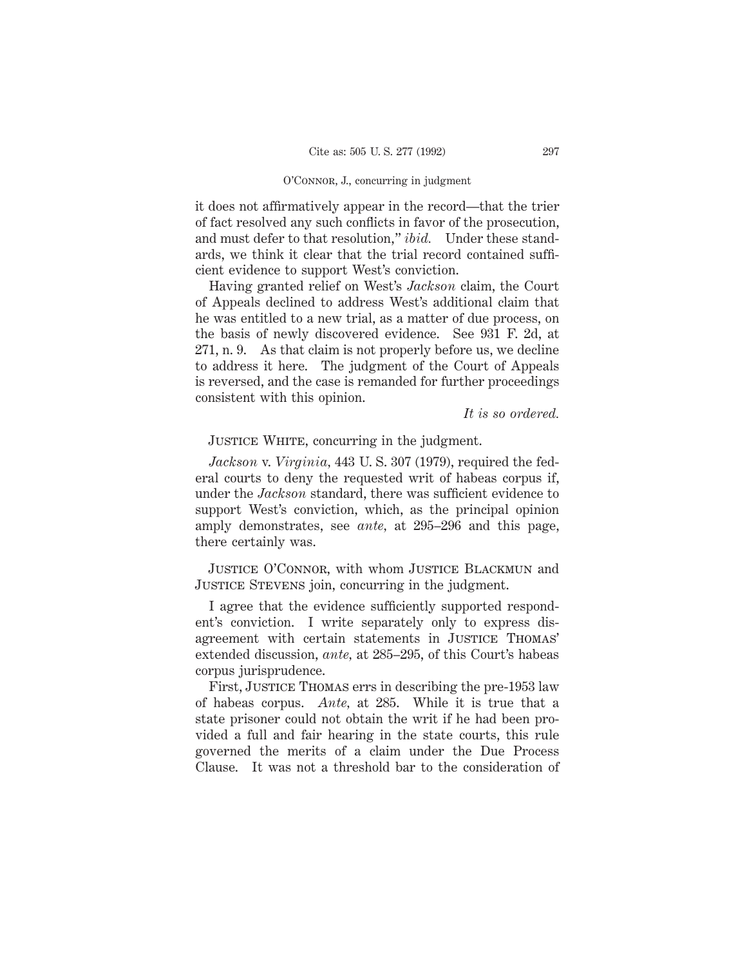it does not affirmatively appear in the record—that the trier of fact resolved any such conflicts in favor of the prosecution, and must defer to that resolution," *ibid.* Under these standards, we think it clear that the trial record contained sufficient evidence to support West's conviction.

Having granted relief on West's *Jackson* claim, the Court of Appeals declined to address West's additional claim that he was entitled to a new trial, as a matter of due process, on the basis of newly discovered evidence. See 931 F. 2d, at 271, n. 9. As that claim is not properly before us, we decline to address it here. The judgment of the Court of Appeals is reversed, and the case is remanded for further proceedings consistent with this opinion.

*It is so ordered.*

### JUSTICE WHITE, concurring in the judgment.

*Jackson* v. *Virginia,* 443 U. S. 307 (1979), required the federal courts to deny the requested writ of habeas corpus if, under the *Jackson* standard, there was sufficient evidence to support West's conviction, which, as the principal opinion amply demonstrates, see *ante,* at 295–296 and this page, there certainly was.

Justice O'Connor, with whom Justice Blackmun and Justice Stevens join, concurring in the judgment.

I agree that the evidence sufficiently supported respondent's conviction. I write separately only to express disagreement with certain statements in Justice Thomas' extended discussion, *ante,* at 285–295, of this Court's habeas corpus jurisprudence.

First, JUSTICE THOMAS errs in describing the pre-1953 law of habeas corpus. *Ante,* at 285. While it is true that a state prisoner could not obtain the writ if he had been provided a full and fair hearing in the state courts, this rule governed the merits of a claim under the Due Process Clause. It was not a threshold bar to the consideration of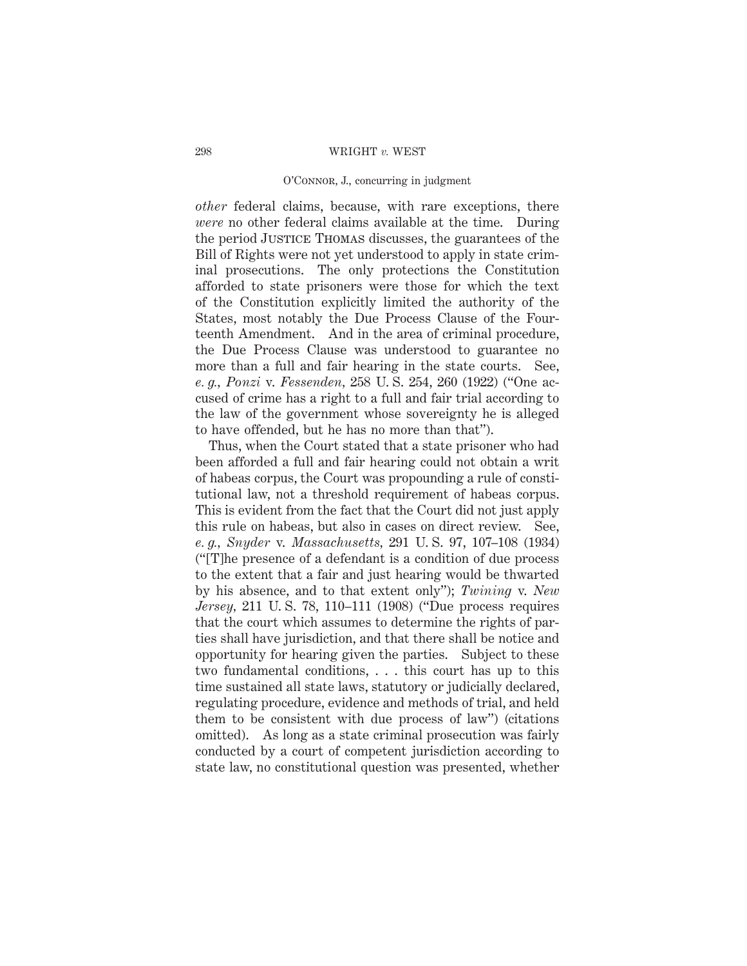# O'CONNOR, J., concurring in judgment

*other* federal claims, because, with rare exceptions, there *were* no other federal claims available at the time. During the period Justice Thomas discusses, the guarantees of the Bill of Rights were not yet understood to apply in state criminal prosecutions. The only protections the Constitution afforded to state prisoners were those for which the text of the Constitution explicitly limited the authority of the States, most notably the Due Process Clause of the Fourteenth Amendment. And in the area of criminal procedure, the Due Process Clause was understood to guarantee no more than a full and fair hearing in the state courts. See, *e. g., Ponzi* v. *Fessenden,* 258 U. S. 254, 260 (1922) ("One accused of crime has a right to a full and fair trial according to the law of the government whose sovereignty he is alleged to have offended, but he has no more than that").

Thus, when the Court stated that a state prisoner who had been afforded a full and fair hearing could not obtain a writ of habeas corpus, the Court was propounding a rule of constitutional law, not a threshold requirement of habeas corpus. This is evident from the fact that the Court did not just apply this rule on habeas, but also in cases on direct review. See, *e. g., Snyder* v. *Massachusetts,* 291 U. S. 97, 107–108 (1934) ("[T]he presence of a defendant is a condition of due process to the extent that a fair and just hearing would be thwarted by his absence, and to that extent only"); *Twining* v. *New Jersey,* 211 U. S. 78, 110–111 (1908) ("Due process requires that the court which assumes to determine the rights of parties shall have jurisdiction, and that there shall be notice and opportunity for hearing given the parties. Subject to these two fundamental conditions, . . . this court has up to this time sustained all state laws, statutory or judicially declared, regulating procedure, evidence and methods of trial, and held them to be consistent with due process of law") (citations omitted). As long as a state criminal prosecution was fairly conducted by a court of competent jurisdiction according to state law, no constitutional question was presented, whether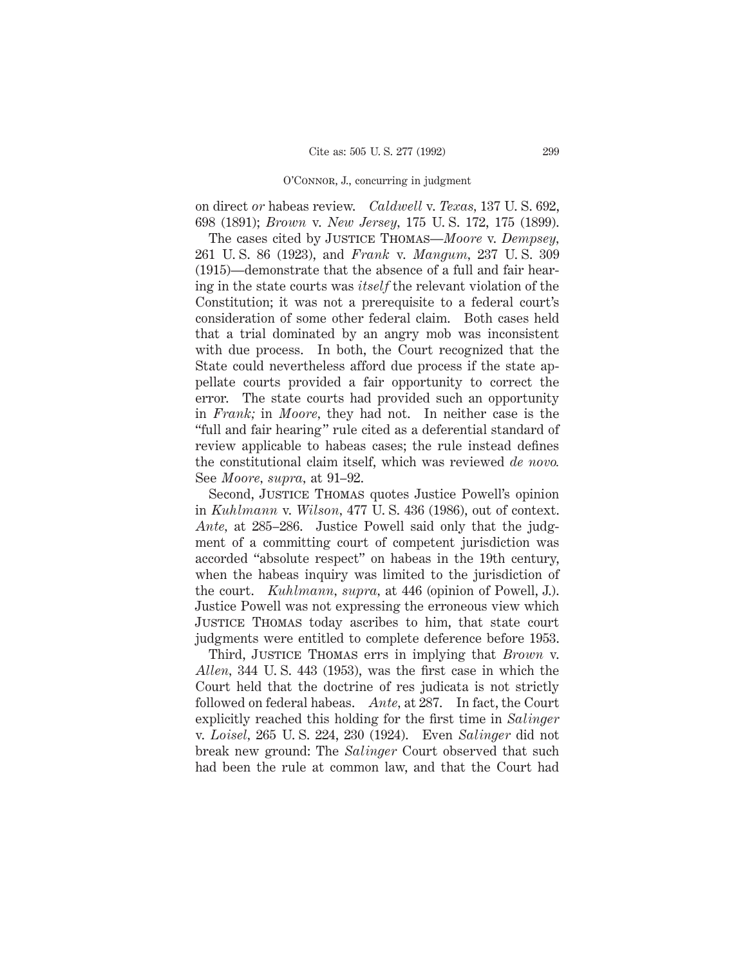on direct *or* habeas review. *Caldwell* v. *Texas,* 137 U. S. 692, 698 (1891); *Brown* v. *New Jersey,* 175 U. S. 172, 175 (1899).

The cases cited by Justice Thomas—*Moore* v. *Dempsey,* 261 U. S. 86 (1923), and *Frank* v. *Mangum,* 237 U. S. 309 (1915)—demonstrate that the absence of a full and fair hearing in the state courts was *itself* the relevant violation of the Constitution; it was not a prerequisite to a federal court's consideration of some other federal claim. Both cases held that a trial dominated by an angry mob was inconsistent with due process. In both, the Court recognized that the State could nevertheless afford due process if the state appellate courts provided a fair opportunity to correct the error. The state courts had provided such an opportunity in *Frank;* in *Moore,* they had not. In neither case is the "full and fair hearing" rule cited as a deferential standard of review applicable to habeas cases; the rule instead defines the constitutional claim itself, which was reviewed *de novo.* See *Moore, supra,* at 91–92.

Second, Justice Thomas quotes Justice Powell's opinion in *Kuhlmann* v. *Wilson,* 477 U. S. 436 (1986), out of context. *Ante,* at 285–286. Justice Powell said only that the judgment of a committing court of competent jurisdiction was accorded "absolute respect" on habeas in the 19th century, when the habeas inquiry was limited to the jurisdiction of the court. *Kuhlmann, supra,* at 446 (opinion of Powell, J.). Justice Powell was not expressing the erroneous view which Justice Thomas today ascribes to him, that state court judgments were entitled to complete deference before 1953.

Third, Justice Thomas errs in implying that *Brown* v. *Allen,* 344 U. S. 443 (1953), was the first case in which the Court held that the doctrine of res judicata is not strictly followed on federal habeas. *Ante,* at 287. In fact, the Court explicitly reached this holding for the first time in *Salinger* v. *Loisel,* 265 U. S. 224, 230 (1924). Even *Salinger* did not break new ground: The *Salinger* Court observed that such had been the rule at common law, and that the Court had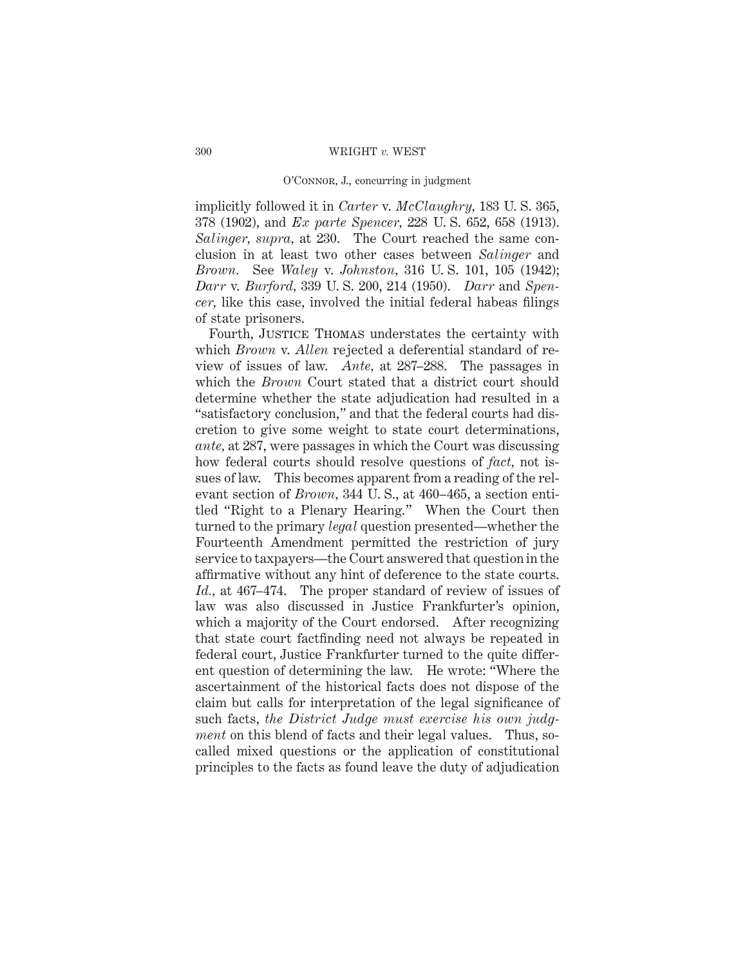implicitly followed it in *Carter* v. *McClaughry,* 183 U. S. 365, 378 (1902), and *Ex parte Spencer,* 228 U. S. 652, 658 (1913). *Salinger, supra,* at 230. The Court reached the same conclusion in at least two other cases between *Salinger* and *Brown.* See *Waley* v. *Johnston,* 316 U. S. 101, 105 (1942); *Darr* v. *Burford,* 339 U. S. 200, 214 (1950). *Darr* and *Spencer,* like this case, involved the initial federal habeas filings of state prisoners.

Fourth, Justice Thomas understates the certainty with which *Brown* v. *Allen* rejected a deferential standard of review of issues of law. *Ante,* at 287–288. The passages in which the *Brown* Court stated that a district court should determine whether the state adjudication had resulted in a "satisfactory conclusion," and that the federal courts had discretion to give some weight to state court determinations, *ante,* at 287, were passages in which the Court was discussing how federal courts should resolve questions of *fact,* not issues of law. This becomes apparent from a reading of the relevant section of *Brown,* 344 U. S., at 460–465, a section entitled "Right to a Plenary Hearing." When the Court then turned to the primary *legal* question presented—whether the Fourteenth Amendment permitted the restriction of jury service to taxpayers—the Court answered that question in the affirmative without any hint of deference to the state courts. *Id.,* at 467–474. The proper standard of review of issues of law was also discussed in Justice Frankfurter's opinion, which a majority of the Court endorsed. After recognizing that state court factfinding need not always be repeated in federal court, Justice Frankfurter turned to the quite different question of determining the law. He wrote: "Where the ascertainment of the historical facts does not dispose of the claim but calls for interpretation of the legal significance of such facts, *the District Judge must exercise his own judgment* on this blend of facts and their legal values. Thus, socalled mixed questions or the application of constitutional principles to the facts as found leave the duty of adjudication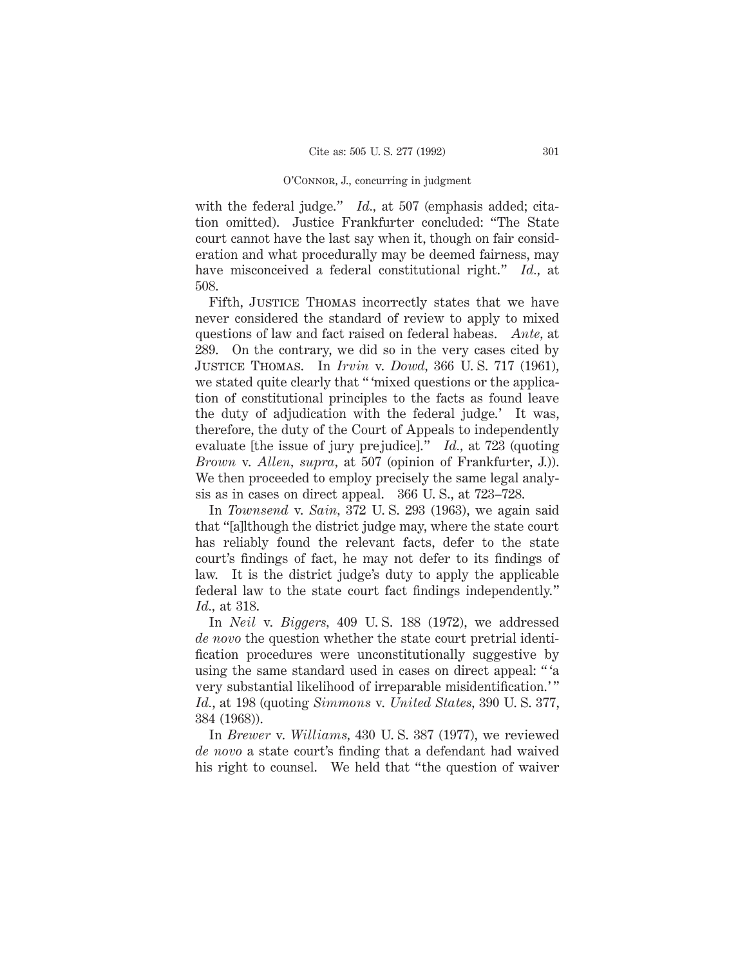with the federal judge." *Id.*, at 507 (emphasis added; citation omitted). Justice Frankfurter concluded: "The State court cannot have the last say when it, though on fair consideration and what procedurally may be deemed fairness, may have misconceived a federal constitutional right." *Id.,* at 508.

Fifth, JUSTICE THOMAS incorrectly states that we have never considered the standard of review to apply to mixed questions of law and fact raised on federal habeas. *Ante,* at 289. On the contrary, we did so in the very cases cited by Justice Thomas. In *Irvin* v. *Dowd,* 366 U. S. 717 (1961), we stated quite clearly that " 'mixed questions or the application of constitutional principles to the facts as found leave the duty of adjudication with the federal judge.' It was, therefore, the duty of the Court of Appeals to independently evaluate [the issue of jury prejudice]." *Id.,* at 723 (quoting *Brown* v. *Allen, supra,* at 507 (opinion of Frankfurter, J.)). We then proceeded to employ precisely the same legal analysis as in cases on direct appeal. 366 U. S., at 723–728.

In *Townsend* v. *Sain,* 372 U. S. 293 (1963), we again said that "[a]lthough the district judge may, where the state court has reliably found the relevant facts, defer to the state court's findings of fact, he may not defer to its findings of law. It is the district judge's duty to apply the applicable federal law to the state court fact findings independently." *Id.,* at 318.

In *Neil* v. *Biggers,* 409 U. S. 188 (1972), we addressed *de novo* the question whether the state court pretrial identification procedures were unconstitutionally suggestive by using the same standard used in cases on direct appeal: " 'a very substantial likelihood of irreparable misidentification.' " *Id.*, at 198 (quoting *Simmons* v. *United States,* 390 U. S. 377, 384 (1968)).

In *Brewer* v. *Williams,* 430 U. S. 387 (1977), we reviewed *de novo* a state court's finding that a defendant had waived his right to counsel. We held that "the question of waiver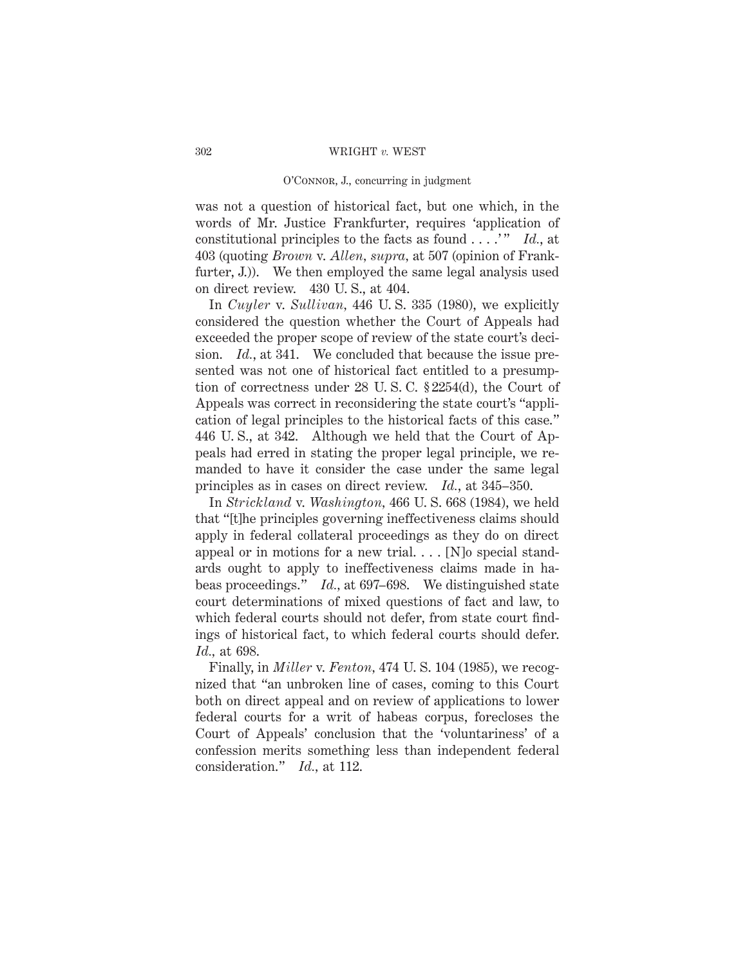was not a question of historical fact, but one which, in the words of Mr. Justice Frankfurter, requires 'application of constitutional principles to the facts as found . . . .' " *Id.*, at 403 (quoting *Brown* v. *Allen, supra,* at 507 (opinion of Frankfurter, J.)). We then employed the same legal analysis used on direct review. 430 U. S., at 404.

In *Cuyler* v. *Sullivan,* 446 U. S. 335 (1980), we explicitly considered the question whether the Court of Appeals had exceeded the proper scope of review of the state court's decision. *Id.*, at 341. We concluded that because the issue presented was not one of historical fact entitled to a presumption of correctness under 28 U. S. C. § 2254(d), the Court of Appeals was correct in reconsidering the state court's "application of legal principles to the historical facts of this case." 446 U. S., at 342. Although we held that the Court of Appeals had erred in stating the proper legal principle, we remanded to have it consider the case under the same legal principles as in cases on direct review. *Id.*, at 345–350.

In *Strickland* v. *Washington,* 466 U. S. 668 (1984), we held that "[t]he principles governing ineffectiveness claims should apply in federal collateral proceedings as they do on direct appeal or in motions for a new trial. . . . [N]o special standards ought to apply to ineffectiveness claims made in habeas proceedings." *Id.,* at 697–698. We distinguished state court determinations of mixed questions of fact and law, to which federal courts should not defer, from state court findings of historical fact, to which federal courts should defer. *Id.,* at 698.

Finally, in *Miller* v. *Fenton,* 474 U. S. 104 (1985), we recognized that "an unbroken line of cases, coming to this Court both on direct appeal and on review of applications to lower federal courts for a writ of habeas corpus, forecloses the Court of Appeals' conclusion that the 'voluntariness' of a confession merits something less than independent federal consideration." *Id.,* at 112.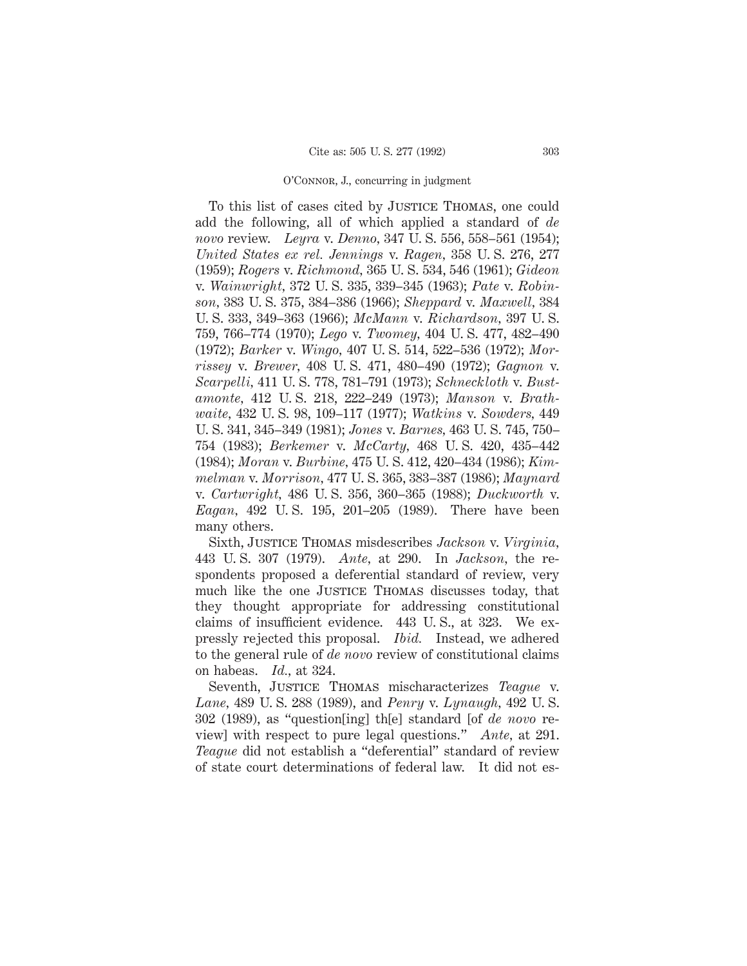To this list of cases cited by Justice Thomas, one could add the following, all of which applied a standard of *de novo* review. *Leyra* v. *Denno,* 347 U. S. 556, 558–561 (1954); *United States ex rel. Jennings* v. *Ragen,* 358 U. S. 276, 277 (1959); *Rogers* v. *Richmond,* 365 U. S. 534, 546 (1961); *Gideon* v. *Wainwright,* 372 U. S. 335, 339–345 (1963); *Pate* v. *Robinson,* 383 U. S. 375, 384–386 (1966); *Sheppard* v. *Maxwell,* 384 U. S. 333, 349–363 (1966); *McMann* v. *Richardson,* 397 U. S. 759, 766–774 (1970); *Lego* v. *Twomey,* 404 U. S. 477, 482–490 (1972); *Barker* v. *Wingo,* 407 U. S. 514, 522–536 (1972); *Morrissey* v. *Brewer,* 408 U. S. 471, 480–490 (1972); *Gagnon* v. *Scarpelli,* 411 U. S. 778, 781–791 (1973); *Schneckloth* v. *Bustamonte,* 412 U. S. 218, 222–249 (1973); *Manson* v. *Brathwaite,* 432 U. S. 98, 109–117 (1977); *Watkins* v. *Sowders,* 449 U. S. 341, 345–349 (1981); *Jones* v. *Barnes,* 463 U. S. 745, 750– 754 (1983); *Berkemer* v. *McCarty,* 468 U. S. 420, 435–442 (1984); *Moran* v. *Burbine,* 475 U. S. 412, 420–434 (1986); *Kimmelman* v. *Morrison,* 477 U. S. 365, 383–387 (1986); *Maynard* v. *Cartwright,* 486 U. S. 356, 360–365 (1988); *Duckworth* v. *Eagan,* 492 U. S. 195, 201–205 (1989). There have been many others.

Sixth, Justice Thomas misdescribes *Jackson* v. *Virginia,* 443 U. S. 307 (1979). *Ante,* at 290. In *Jackson,* the respondents proposed a deferential standard of review, very much like the one JUSTICE THOMAS discusses today, that they thought appropriate for addressing constitutional claims of insufficient evidence. 443 U. S., at 323. We expressly rejected this proposal. *Ibid.* Instead, we adhered to the general rule of *de novo* review of constitutional claims on habeas. *Id.,* at 324.

Seventh, Justice Thomas mischaracterizes *Teague* v. *Lane,* 489 U. S. 288 (1989), and *Penry* v. *Lynaugh,* 492 U. S. 302 (1989), as "question[ing] th[e] standard [of *de novo* review] with respect to pure legal questions." *Ante,* at 291. *Teague* did not establish a "deferential" standard of review of state court determinations of federal law. It did not es-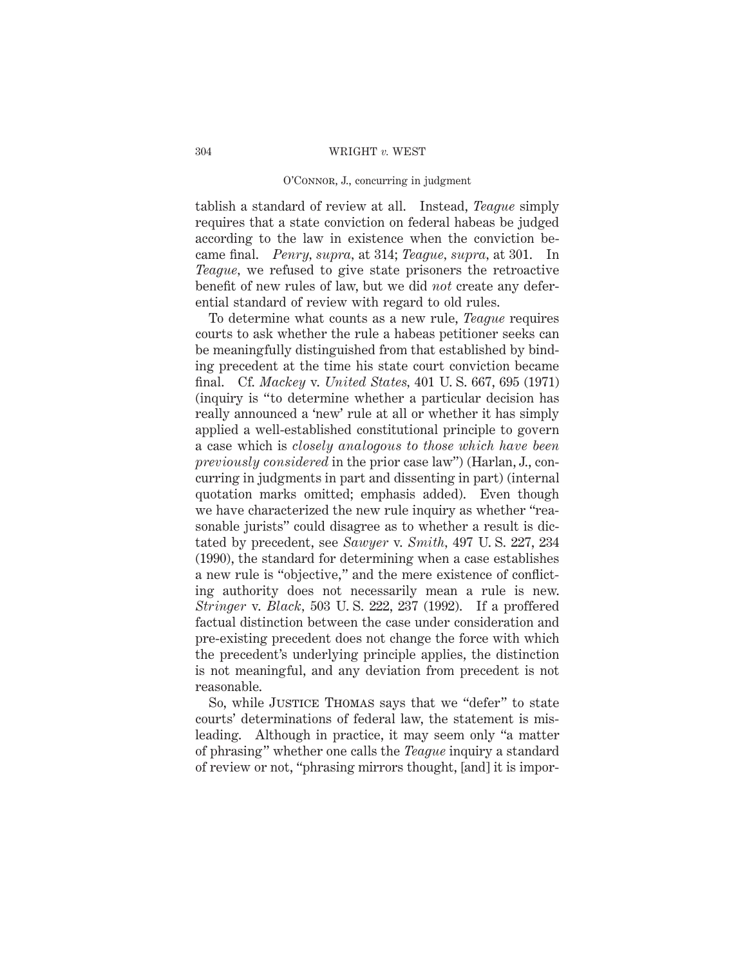# O'CONNOR, J., concurring in judgment

tablish a standard of review at all. Instead, *Teague* simply requires that a state conviction on federal habeas be judged according to the law in existence when the conviction became final. *Penry, supra,* at 314; *Teague, supra,* at 301. In *Teague,* we refused to give state prisoners the retroactive benefit of new rules of law, but we did *not* create any deferential standard of review with regard to old rules.

To determine what counts as a new rule, *Teague* requires courts to ask whether the rule a habeas petitioner seeks can be meaningfully distinguished from that established by binding precedent at the time his state court conviction became final. Cf. *Mackey* v. *United States,* 401 U. S. 667, 695 (1971) (inquiry is "to determine whether a particular decision has really announced a 'new' rule at all or whether it has simply applied a well-established constitutional principle to govern a case which is *closely analogous to those which have been previously considered* in the prior case law") (Harlan, J., concurring in judgments in part and dissenting in part) (internal quotation marks omitted; emphasis added). Even though we have characterized the new rule inquiry as whether "reasonable jurists" could disagree as to whether a result is dictated by precedent, see *Sawyer* v. *Smith,* 497 U. S. 227, 234 (1990), the standard for determining when a case establishes a new rule is "objective," and the mere existence of conflicting authority does not necessarily mean a rule is new. *Stringer* v. *Black,* 503 U. S. 222, 237 (1992). If a proffered factual distinction between the case under consideration and pre-existing precedent does not change the force with which the precedent's underlying principle applies, the distinction is not meaningful, and any deviation from precedent is not reasonable.

So, while JUSTICE THOMAS says that we "defer" to state courts' determinations of federal law, the statement is misleading. Although in practice, it may seem only "a matter of phrasing" whether one calls the *Teague* inquiry a standard of review or not, "phrasing mirrors thought, [and] it is impor-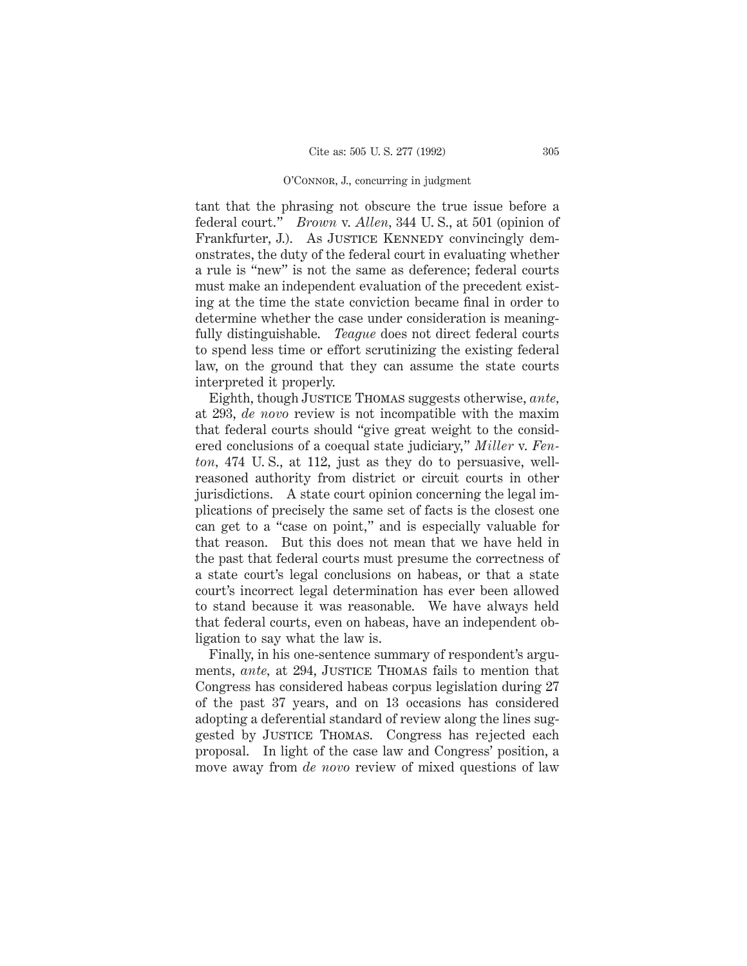tant that the phrasing not obscure the true issue before a federal court." *Brown* v. *Allen,* 344 U. S., at 501 (opinion of Frankfurter, J.). As JUSTICE KENNEDY convincingly demonstrates, the duty of the federal court in evaluating whether a rule is "new" is not the same as deference; federal courts must make an independent evaluation of the precedent existing at the time the state conviction became final in order to determine whether the case under consideration is meaningfully distinguishable. *Teague* does not direct federal courts to spend less time or effort scrutinizing the existing federal law, on the ground that they can assume the state courts interpreted it properly.

Eighth, though Justice Thomas suggests otherwise, *ante,* at 293, *de novo* review is not incompatible with the maxim that federal courts should "give great weight to the considered conclusions of a coequal state judiciary," *Miller* v. *Fenton,* 474 U. S., at 112, just as they do to persuasive, wellreasoned authority from district or circuit courts in other jurisdictions. A state court opinion concerning the legal implications of precisely the same set of facts is the closest one can get to a "case on point," and is especially valuable for that reason. But this does not mean that we have held in the past that federal courts must presume the correctness of a state court's legal conclusions on habeas, or that a state court's incorrect legal determination has ever been allowed to stand because it was reasonable. We have always held that federal courts, even on habeas, have an independent obligation to say what the law is.

Finally, in his one-sentence summary of respondent's arguments, *ante*, at 294, JUSTICE THOMAS fails to mention that Congress has considered habeas corpus legislation during 27 of the past 37 years, and on 13 occasions has considered adopting a deferential standard of review along the lines suggested by Justice Thomas. Congress has rejected each proposal. In light of the case law and Congress' position, a move away from *de novo* review of mixed questions of law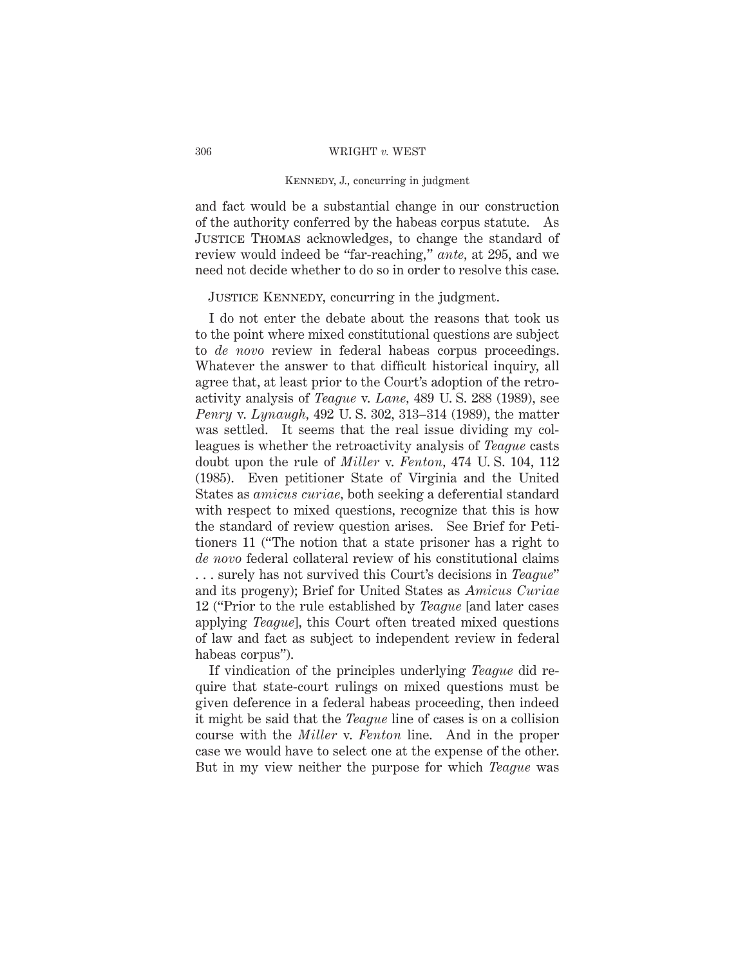# KENNEDY, J., concurring in judgment

and fact would be a substantial change in our construction of the authority conferred by the habeas corpus statute. As JUSTICE THOMAS acknowledges, to change the standard of review would indeed be "far-reaching," *ante,* at 295, and we need not decide whether to do so in order to resolve this case.

### JUSTICE KENNEDY, concurring in the judgment.

I do not enter the debate about the reasons that took us to the point where mixed constitutional questions are subject to *de novo* review in federal habeas corpus proceedings. Whatever the answer to that difficult historical inquiry, all agree that, at least prior to the Court's adoption of the retroactivity analysis of *Teague* v. *Lane,* 489 U. S. 288 (1989), see *Penry* v. *Lynaugh,* 492 U. S. 302, 313–314 (1989), the matter was settled. It seems that the real issue dividing my colleagues is whether the retroactivity analysis of *Teague* casts doubt upon the rule of *Miller* v. *Fenton,* 474 U. S. 104, 112 (1985). Even petitioner State of Virginia and the United States as *amicus curiae,* both seeking a deferential standard with respect to mixed questions, recognize that this is how the standard of review question arises. See Brief for Petitioners 11 ("The notion that a state prisoner has a right to *de novo* federal collateral review of his constitutional claims . . . surely has not survived this Court's decisions in *Teague*" and its progeny); Brief for United States as *Amicus Curiae* 12 ("Prior to the rule established by *Teague* [and later cases applying *Teague*], this Court often treated mixed questions of law and fact as subject to independent review in federal habeas corpus").

If vindication of the principles underlying *Teague* did require that state-court rulings on mixed questions must be given deference in a federal habeas proceeding, then indeed it might be said that the *Teague* line of cases is on a collision course with the *Miller* v. *Fenton* line. And in the proper case we would have to select one at the expense of the other. But in my view neither the purpose for which *Teague* was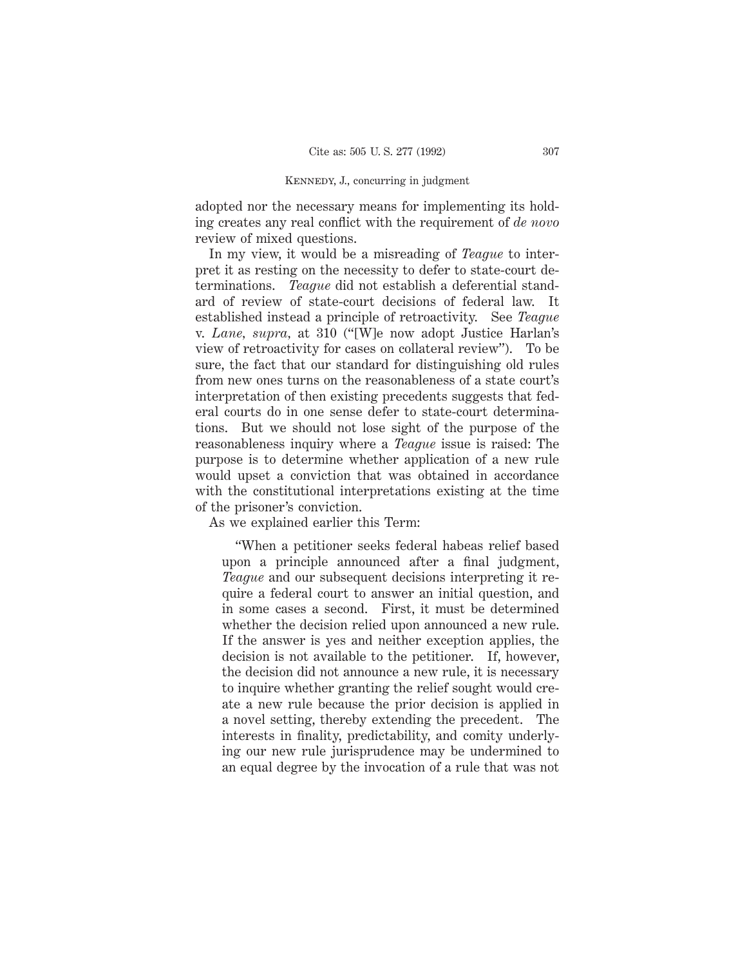# KENNEDY, J., concurring in judgment

adopted nor the necessary means for implementing its holding creates any real conflict with the requirement of *de novo* review of mixed questions.

In my view, it would be a misreading of *Teague* to interpret it as resting on the necessity to defer to state-court determinations. *Teague* did not establish a deferential standard of review of state-court decisions of federal law. It established instead a principle of retroactivity. See *Teague* v. *Lane, supra,* at 310 ("[W]e now adopt Justice Harlan's view of retroactivity for cases on collateral review"). To be sure, the fact that our standard for distinguishing old rules from new ones turns on the reasonableness of a state court's interpretation of then existing precedents suggests that federal courts do in one sense defer to state-court determinations. But we should not lose sight of the purpose of the reasonableness inquiry where a *Teague* issue is raised: The purpose is to determine whether application of a new rule would upset a conviction that was obtained in accordance with the constitutional interpretations existing at the time of the prisoner's conviction.

As we explained earlier this Term:

"When a petitioner seeks federal habeas relief based upon a principle announced after a final judgment, *Teague* and our subsequent decisions interpreting it require a federal court to answer an initial question, and in some cases a second. First, it must be determined whether the decision relied upon announced a new rule. If the answer is yes and neither exception applies, the decision is not available to the petitioner. If, however, the decision did not announce a new rule, it is necessary to inquire whether granting the relief sought would create a new rule because the prior decision is applied in a novel setting, thereby extending the precedent. The interests in finality, predictability, and comity underlying our new rule jurisprudence may be undermined to an equal degree by the invocation of a rule that was not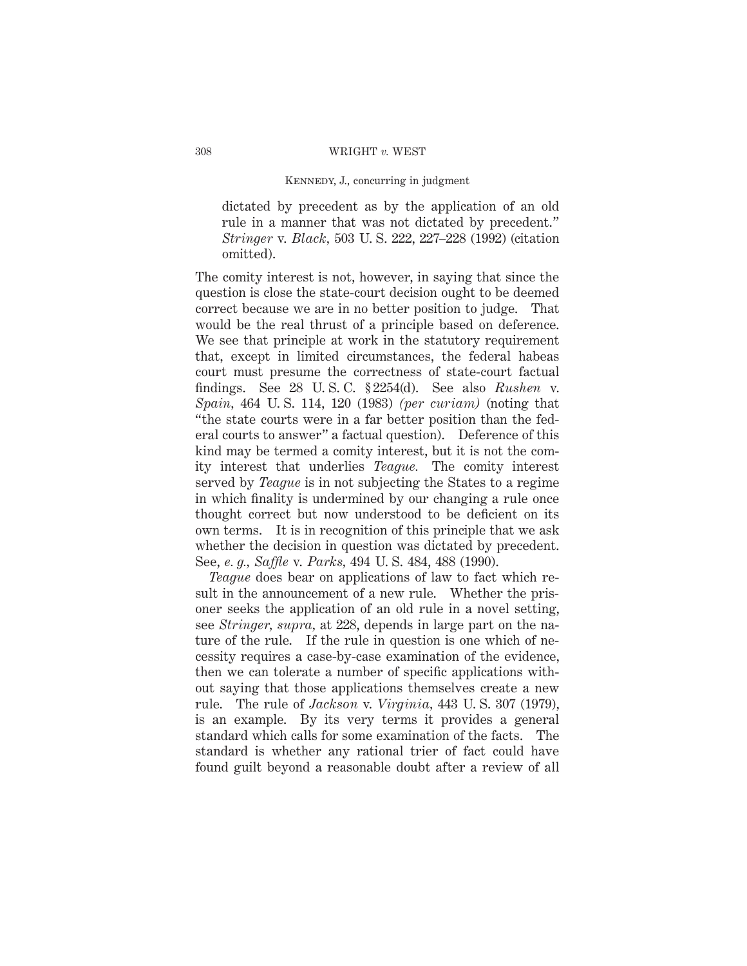# KENNEDY, J., concurring in judgment

dictated by precedent as by the application of an old rule in a manner that was not dictated by precedent." *Stringer* v. *Black,* 503 U. S. 222, 227–228 (1992) (citation omitted).

The comity interest is not, however, in saying that since the question is close the state-court decision ought to be deemed correct because we are in no better position to judge. That would be the real thrust of a principle based on deference. We see that principle at work in the statutory requirement that, except in limited circumstances, the federal habeas court must presume the correctness of state-court factual findings. See 28 U. S. C. § 2254(d). See also *Rushen* v. *Spain,* 464 U. S. 114, 120 (1983) *(per curiam)* (noting that "the state courts were in a far better position than the federal courts to answer" a factual question). Deference of this kind may be termed a comity interest, but it is not the comity interest that underlies *Teague.* The comity interest served by *Teague* is in not subjecting the States to a regime in which finality is undermined by our changing a rule once thought correct but now understood to be deficient on its own terms. It is in recognition of this principle that we ask whether the decision in question was dictated by precedent. See, *e. g., Saffle* v. *Parks,* 494 U. S. 484, 488 (1990).

*Teague* does bear on applications of law to fact which result in the announcement of a new rule. Whether the prisoner seeks the application of an old rule in a novel setting, see *Stringer, supra,* at 228, depends in large part on the nature of the rule. If the rule in question is one which of necessity requires a case-by-case examination of the evidence, then we can tolerate a number of specific applications without saying that those applications themselves create a new rule. The rule of *Jackson* v. *Virginia,* 443 U. S. 307 (1979), is an example. By its very terms it provides a general standard which calls for some examination of the facts. The standard is whether any rational trier of fact could have found guilt beyond a reasonable doubt after a review of all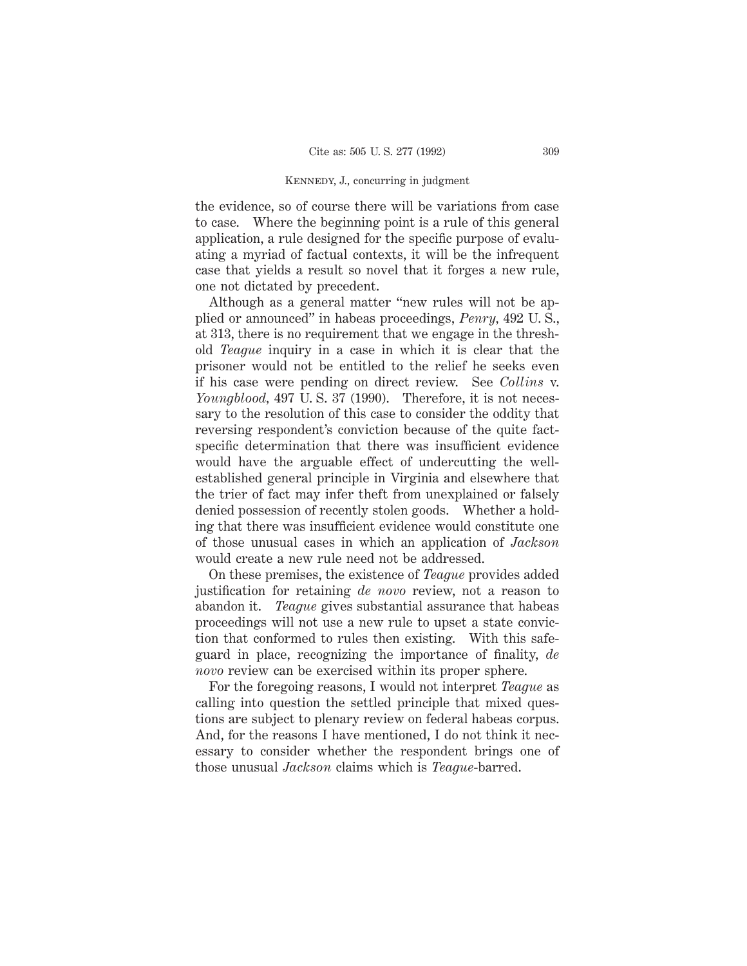# KENNEDY, J., concurring in judgment

the evidence, so of course there will be variations from case to case. Where the beginning point is a rule of this general application, a rule designed for the specific purpose of evaluating a myriad of factual contexts, it will be the infrequent case that yields a result so novel that it forges a new rule, one not dictated by precedent.

Although as a general matter "new rules will not be applied or announced" in habeas proceedings, *Penry,* 492 U. S., at 313, there is no requirement that we engage in the threshold *Teague* inquiry in a case in which it is clear that the prisoner would not be entitled to the relief he seeks even if his case were pending on direct review. See *Collins* v. *Youngblood,* 497 U. S. 37 (1990). Therefore, it is not necessary to the resolution of this case to consider the oddity that reversing respondent's conviction because of the quite factspecific determination that there was insufficient evidence would have the arguable effect of undercutting the wellestablished general principle in Virginia and elsewhere that the trier of fact may infer theft from unexplained or falsely denied possession of recently stolen goods. Whether a holding that there was insufficient evidence would constitute one of those unusual cases in which an application of *Jackson* would create a new rule need not be addressed.

On these premises, the existence of *Teague* provides added justification for retaining *de novo* review, not a reason to abandon it. *Teague* gives substantial assurance that habeas proceedings will not use a new rule to upset a state conviction that conformed to rules then existing. With this safeguard in place, recognizing the importance of finality, *de novo* review can be exercised within its proper sphere.

For the foregoing reasons, I would not interpret *Teague* as calling into question the settled principle that mixed questions are subject to plenary review on federal habeas corpus. And, for the reasons I have mentioned, I do not think it necessary to consider whether the respondent brings one of those unusual *Jackson* claims which is *Teague*-barred.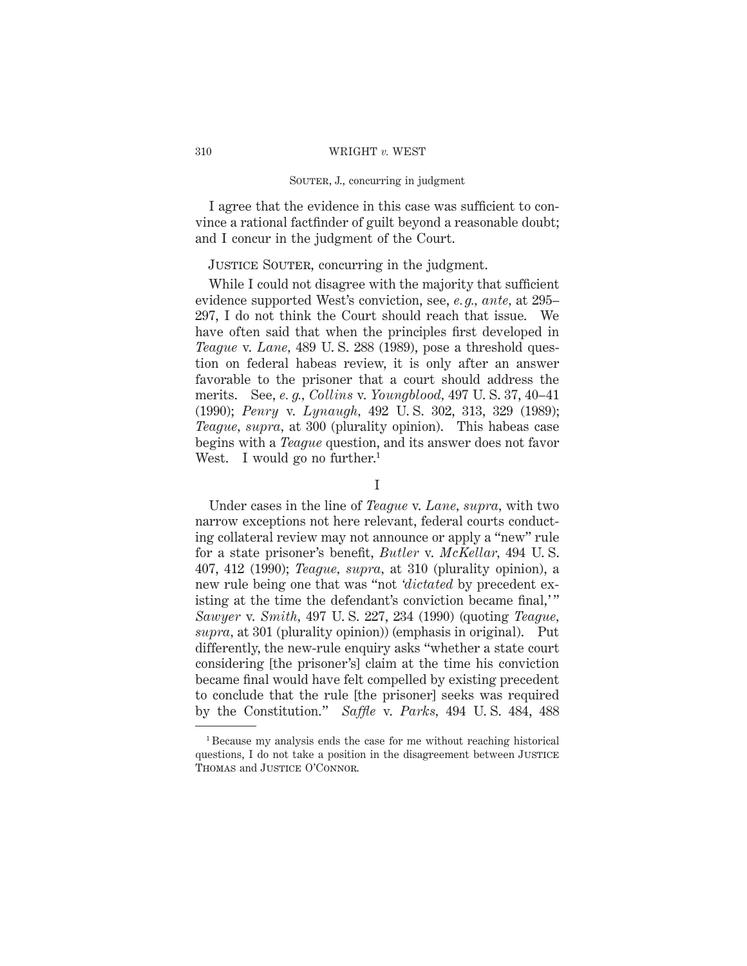# SOUTER, J., concurring in judgment

I agree that the evidence in this case was sufficient to convince a rational factfinder of guilt beyond a reasonable doubt; and I concur in the judgment of the Court.

# JUSTICE SOUTER, concurring in the judgment.

While I could not disagree with the majority that sufficient evidence supported West's conviction, see, *e. g., ante,* at 295– 297, I do not think the Court should reach that issue. We have often said that when the principles first developed in *Teague* v. *Lane,* 489 U. S. 288 (1989), pose a threshold question on federal habeas review, it is only after an answer favorable to the prisoner that a court should address the merits. See, *e. g., Collins* v. *Youngblood,* 497 U. S. 37, 40–41 (1990); *Penry* v. *Lynaugh,* 492 U. S. 302, 313, 329 (1989); *Teague, supra,* at 300 (plurality opinion). This habeas case begins with a *Teague* question, and its answer does not favor West. I would go no further.<sup>1</sup>

### I

Under cases in the line of *Teague* v. *Lane, supra,* with two narrow exceptions not here relevant, federal courts conducting collateral review may not announce or apply a "new" rule for a state prisoner's benefit, *Butler* v. *McKellar,* 494 U. S. 407, 412 (1990); *Teague, supra,* at 310 (plurality opinion), a new rule being one that was "not *'dictated* by precedent existing at the time the defendant's conviction became final,'" *Sawyer* v. *Smith,* 497 U. S. 227, 234 (1990) (quoting *Teague, supra,* at 301 (plurality opinion)) (emphasis in original). Put differently, the new-rule enquiry asks "whether a state court considering [the prisoner's] claim at the time his conviction became final would have felt compelled by existing precedent to conclude that the rule [the prisoner] seeks was required by the Constitution." *Saffle* v. *Parks,* 494 U. S. 484, 488

<sup>&</sup>lt;sup>1</sup> Because my analysis ends the case for me without reaching historical questions, I do not take a position in the disagreement between JUSTICE Thomas and Justice O'Connor.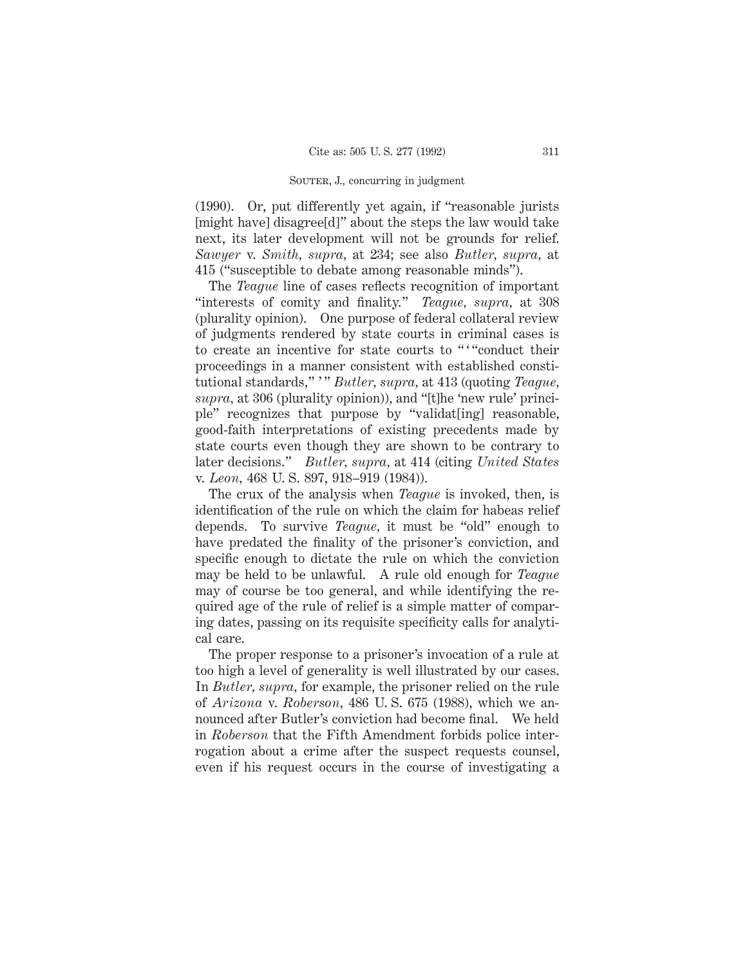(1990). Or, put differently yet again, if "reasonable jurists [might have] disagree[d]" about the steps the law would take next, its later development will not be grounds for relief. *Sawyer* v. *Smith, supra,* at 234; see also *Butler, supra,* at 415 ("susceptible to debate among reasonable minds").

The *Teague* line of cases reflects recognition of important "interests of comity and finality." *Teague, supra,* at 308 (plurality opinion). One purpose of federal collateral review of judgments rendered by state courts in criminal cases is to create an incentive for state courts to ""conduct their proceedings in a manner consistent with established constitutional standards," ' " *Butler, supra,* at 413 (quoting *Teague, supra,* at 306 (plurality opinion)), and "[t]he 'new rule' principle" recognizes that purpose by "validat[ing] reasonable, good-faith interpretations of existing precedents made by state courts even though they are shown to be contrary to later decisions." *Butler, supra,* at 414 (citing *United States* v. *Leon,* 468 U. S. 897, 918–919 (1984)).

The crux of the analysis when *Teague* is invoked, then, is identification of the rule on which the claim for habeas relief depends. To survive *Teague,* it must be "old" enough to have predated the finality of the prisoner's conviction, and specific enough to dictate the rule on which the conviction may be held to be unlawful. A rule old enough for *Teague* may of course be too general, and while identifying the required age of the rule of relief is a simple matter of comparing dates, passing on its requisite specificity calls for analytical care.

The proper response to a prisoner's invocation of a rule at too high a level of generality is well illustrated by our cases. In *Butler, supra,* for example, the prisoner relied on the rule of *Arizona* v. *Roberson,* 486 U. S. 675 (1988), which we announced after Butler's conviction had become final. We held in *Roberson* that the Fifth Amendment forbids police interrogation about a crime after the suspect requests counsel, even if his request occurs in the course of investigating a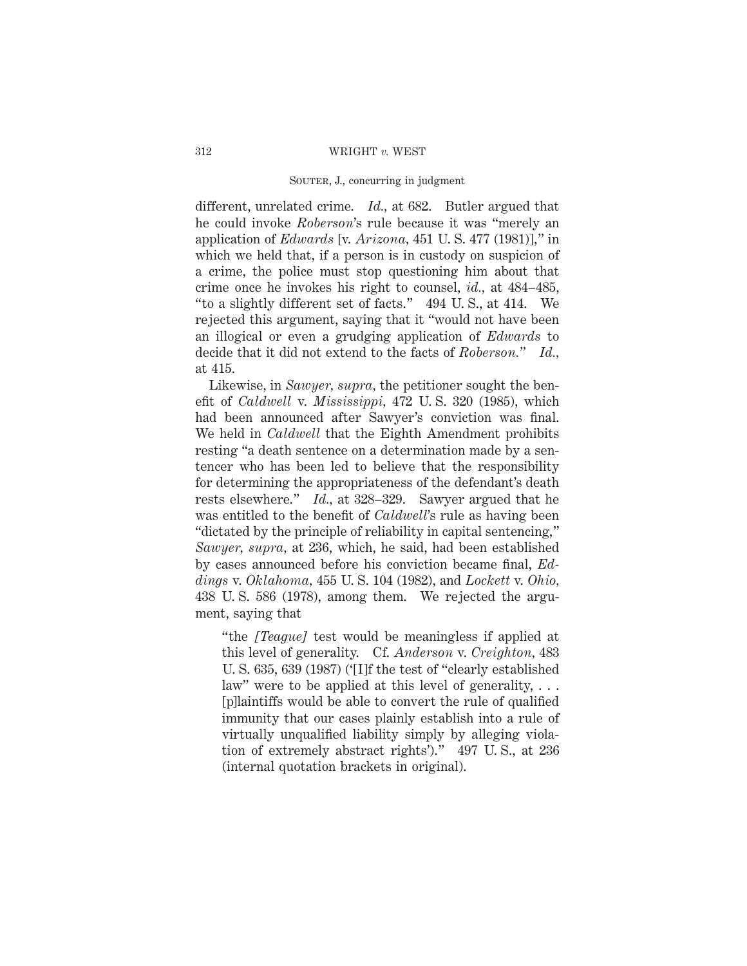different, unrelated crime. *Id.,* at 682. Butler argued that he could invoke *Roberson*'s rule because it was "merely an application of *Edwards* [v. *Arizona,* 451 U. S. 477 (1981)]," in which we held that, if a person is in custody on suspicion of a crime, the police must stop questioning him about that crime once he invokes his right to counsel, *id.,* at 484–485, "to a slightly different set of facts." 494 U. S., at 414. We rejected this argument, saying that it "would not have been an illogical or even a grudging application of *Edwards* to decide that it did not extend to the facts of *Roberson.*" *Id.,* at 415.

Likewise, in *Sawyer, supra,* the petitioner sought the benefit of *Caldwell* v. *Mississippi,* 472 U. S. 320 (1985), which had been announced after Sawyer's conviction was final. We held in *Caldwell* that the Eighth Amendment prohibits resting "a death sentence on a determination made by a sentencer who has been led to believe that the responsibility for determining the appropriateness of the defendant's death rests elsewhere." *Id.,* at 328–329. Sawyer argued that he was entitled to the benefit of *Caldwell*'s rule as having been "dictated by the principle of reliability in capital sentencing," *Sawyer, supra,* at 236, which, he said, had been established by cases announced before his conviction became final, *Eddings* v. *Oklahoma,* 455 U. S. 104 (1982), and *Lockett* v. *Ohio,* 438 U. S. 586 (1978), among them. We rejected the argument, saying that

"the *[Teague]* test would be meaningless if applied at this level of generality. Cf. *Anderson* v. *Creighton,* 483 U. S. 635, 639 (1987) ('[I]f the test of "clearly established law" were to be applied at this level of generality, . . . [p]laintiffs would be able to convert the rule of qualified immunity that our cases plainly establish into a rule of virtually unqualified liability simply by alleging violation of extremely abstract rights')." 497 U. S., at 236 (internal quotation brackets in original).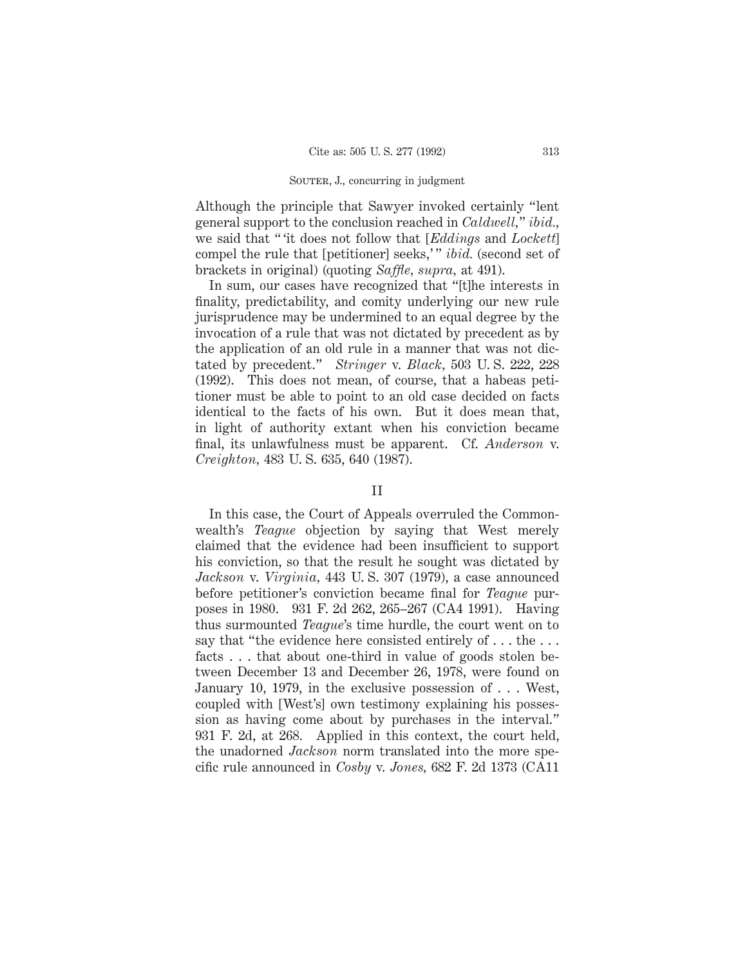Although the principle that Sawyer invoked certainly "lent general support to the conclusion reached in *Caldwell,*" *ibid.,* we said that " 'it does not follow that [*Eddings* and *Lockett*] compel the rule that [petitioner] seeks,'" *ibid.* (second set of brackets in original) (quoting *Saffle, supra,* at 491).

In sum, our cases have recognized that "[t]he interests in finality, predictability, and comity underlying our new rule jurisprudence may be undermined to an equal degree by the invocation of a rule that was not dictated by precedent as by the application of an old rule in a manner that was not dictated by precedent." *Stringer* v. *Black,* 503 U. S. 222, 228 (1992). This does not mean, of course, that a habeas petitioner must be able to point to an old case decided on facts identical to the facts of his own. But it does mean that, in light of authority extant when his conviction became final, its unlawfulness must be apparent. Cf. *Anderson* v. *Creighton,* 483 U. S. 635, 640 (1987).

### II

In this case, the Court of Appeals overruled the Commonwealth's *Teague* objection by saying that West merely claimed that the evidence had been insufficient to support his conviction, so that the result he sought was dictated by *Jackson* v. *Virginia,* 443 U. S. 307 (1979), a case announced before petitioner's conviction became final for *Teague* purposes in 1980. 931 F. 2d 262, 265–267 (CA4 1991). Having thus surmounted *Teague*'s time hurdle, the court went on to say that "the evidence here consisted entirely of . . . the . . . facts . . . that about one-third in value of goods stolen between December 13 and December 26, 1978, were found on January 10, 1979, in the exclusive possession of . . . West, coupled with [West's] own testimony explaining his possession as having come about by purchases in the interval." 931 F. 2d, at 268. Applied in this context, the court held, the unadorned *Jackson* norm translated into the more specific rule announced in *Cosby* v. *Jones,* 682 F. 2d 1373 (CA11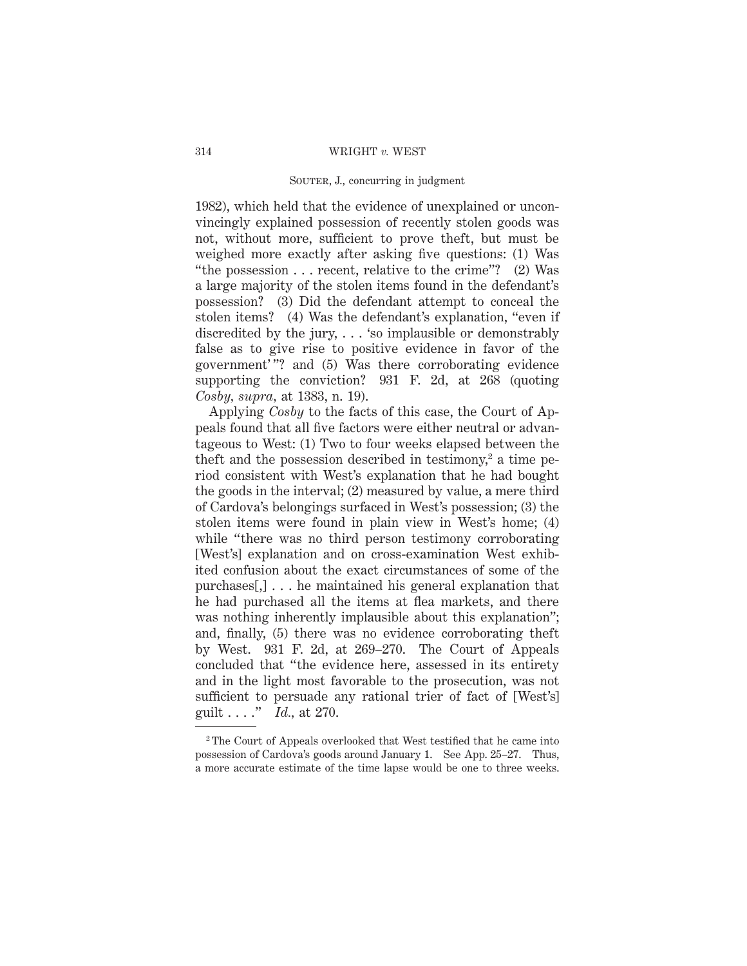# SOUTER, J., concurring in judgment

1982), which held that the evidence of unexplained or unconvincingly explained possession of recently stolen goods was not, without more, sufficient to prove theft, but must be weighed more exactly after asking five questions: (1) Was "the possession... recent, relative to the crime"? (2) Was a large majority of the stolen items found in the defendant's possession? (3) Did the defendant attempt to conceal the stolen items? (4) Was the defendant's explanation, "even if discredited by the jury, . . . 'so implausible or demonstrably false as to give rise to positive evidence in favor of the government' "? and (5) Was there corroborating evidence supporting the conviction? 931 F. 2d, at 268 (quoting *Cosby, supra,* at 1383, n. 19).

Applying *Cosby* to the facts of this case, the Court of Appeals found that all five factors were either neutral or advantageous to West: (1) Two to four weeks elapsed between the theft and the possession described in testimony,<sup>2</sup> a time period consistent with West's explanation that he had bought the goods in the interval; (2) measured by value, a mere third of Cardova's belongings surfaced in West's possession; (3) the stolen items were found in plain view in West's home; (4) while "there was no third person testimony corroborating" [West's] explanation and on cross-examination West exhibited confusion about the exact circumstances of some of the purchases[,] . . . he maintained his general explanation that he had purchased all the items at flea markets, and there was nothing inherently implausible about this explanation"; and, finally, (5) there was no evidence corroborating theft by West. 931 F. 2d, at 269–270. The Court of Appeals concluded that "the evidence here, assessed in its entirety and in the light most favorable to the prosecution, was not sufficient to persuade any rational trier of fact of [West's] guilt . . . ." *Id.,* at 270.

<sup>2</sup> The Court of Appeals overlooked that West testified that he came into possession of Cardova's goods around January 1. See App. 25–27. Thus, a more accurate estimate of the time lapse would be one to three weeks.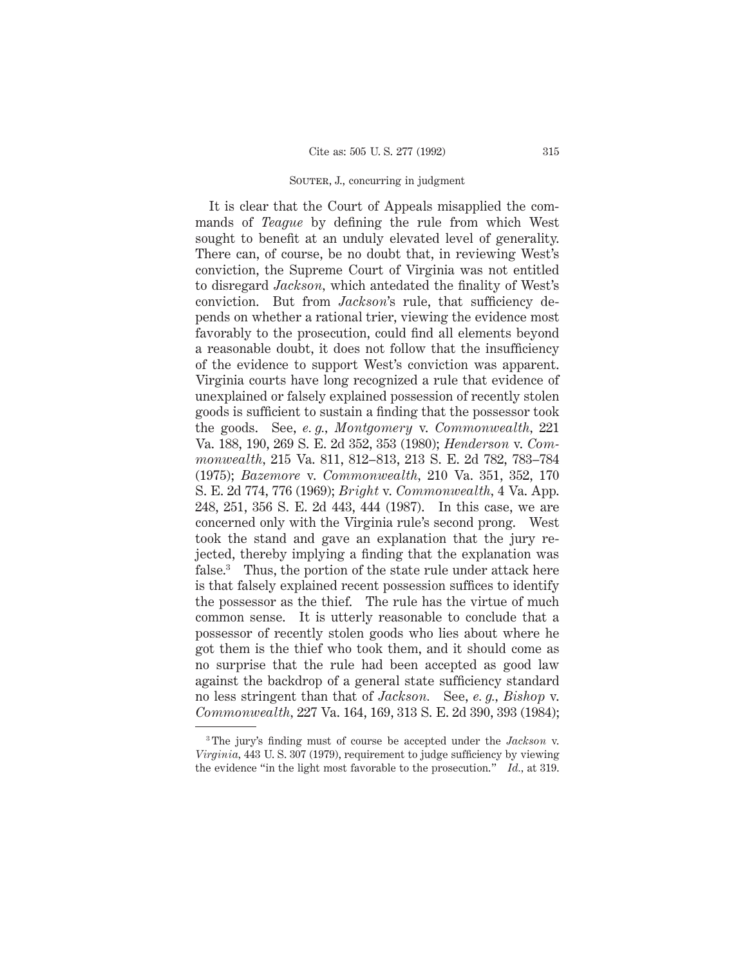It is clear that the Court of Appeals misapplied the commands of *Teague* by defining the rule from which West sought to benefit at an unduly elevated level of generality. There can, of course, be no doubt that, in reviewing West's conviction, the Supreme Court of Virginia was not entitled to disregard *Jackson,* which antedated the finality of West's conviction. But from *Jackson*'s rule, that sufficiency depends on whether a rational trier, viewing the evidence most favorably to the prosecution, could find all elements beyond a reasonable doubt, it does not follow that the insufficiency of the evidence to support West's conviction was apparent. Virginia courts have long recognized a rule that evidence of unexplained or falsely explained possession of recently stolen goods is sufficient to sustain a finding that the possessor took the goods. See, *e. g., Montgomery* v. *Commonwealth,* 221 Va. 188, 190, 269 S. E. 2d 352, 353 (1980); *Henderson* v. *Commonwealth,* 215 Va. 811, 812–813, 213 S. E. 2d 782, 783–784 (1975); *Bazemore* v. *Commonwealth,* 210 Va. 351, 352, 170 S. E. 2d 774, 776 (1969); *Bright* v. *Commonwealth,* 4 Va. App. 248, 251, 356 S. E. 2d 443, 444 (1987). In this case, we are concerned only with the Virginia rule's second prong. West took the stand and gave an explanation that the jury rejected, thereby implying a finding that the explanation was false.3 Thus, the portion of the state rule under attack here is that falsely explained recent possession suffices to identify the possessor as the thief. The rule has the virtue of much common sense. It is utterly reasonable to conclude that a possessor of recently stolen goods who lies about where he got them is the thief who took them, and it should come as no surprise that the rule had been accepted as good law against the backdrop of a general state sufficiency standard no less stringent than that of *Jackson.* See, *e. g., Bishop* v. *Commonwealth,* 227 Va. 164, 169, 313 S. E. 2d 390, 393 (1984);

<sup>3</sup> The jury's finding must of course be accepted under the *Jackson* v. *Virginia,* 443 U. S. 307 (1979), requirement to judge sufficiency by viewing the evidence "in the light most favorable to the prosecution." *Id.,* at 319.